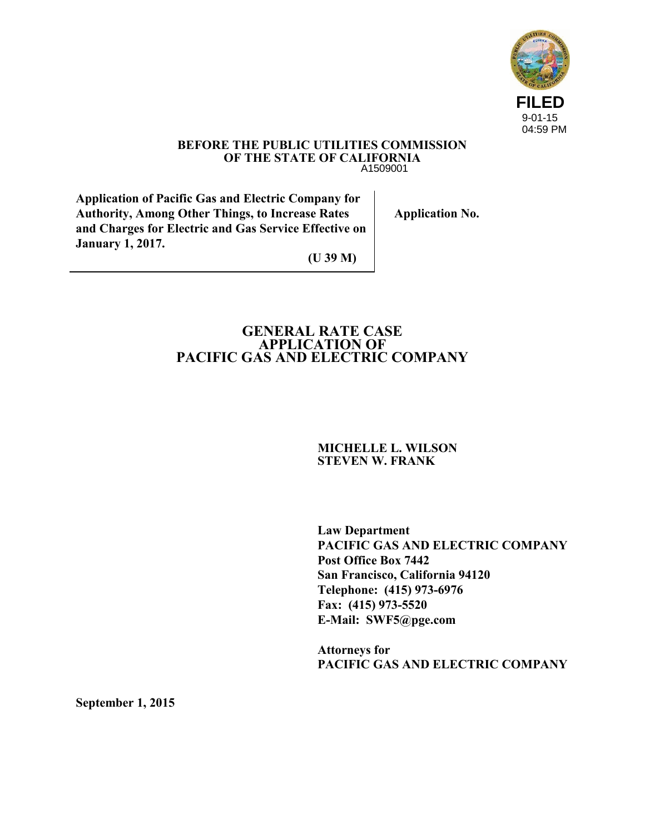

#### **BEFORE THE PUBLIC UTILITIES COMMISSION OF THE STATE OF CALIFORNIA**  A1509001

**Application of Pacific Gas and Electric Company for Authority, Among Other Things, to Increase Rates and Charges for Electric and Gas Service Effective on January 1, 2017.**

**Application No.**

**(U 39 M)**

## **GENERAL RATE CASE APPLICATION OF PACIFIC GAS AND ELECTRIC COMPANY**

#### **MICHELLE L. WILSON STEVEN W. FRANK**

**Law Department PACIFIC GAS AND ELECTRIC COMPANY Post Office Box 7442 San Francisco, California 94120 Telephone: (415) 973-6976 Fax: (415) 973-5520 E-Mail: SWF5@pge.com** 

**Attorneys for PACIFIC GAS AND ELECTRIC COMPANY** 

**September 1, 2015**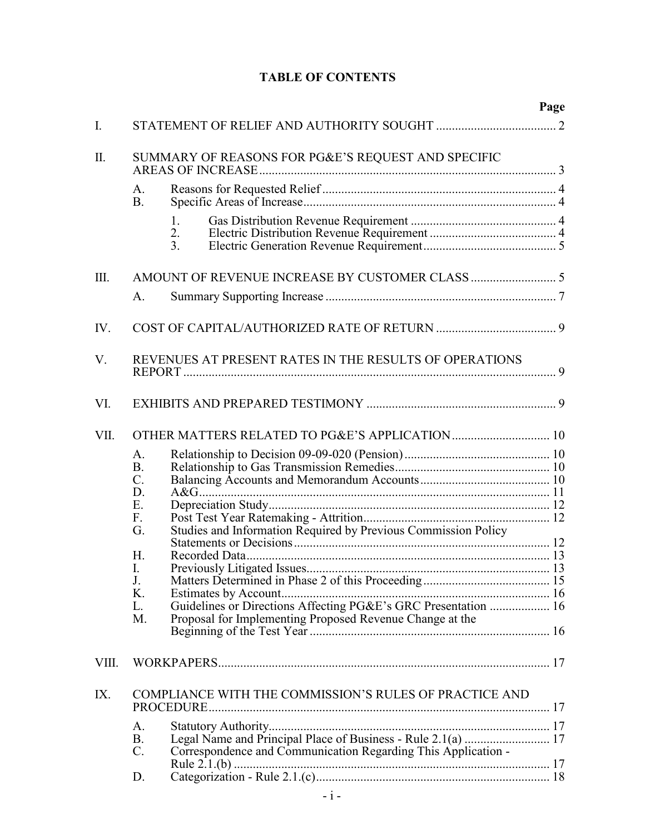|       |                                                                                                                                                            | Page |
|-------|------------------------------------------------------------------------------------------------------------------------------------------------------------|------|
| I.    |                                                                                                                                                            |      |
| Π.    | SUMMARY OF REASONS FOR PG&E'S REQUEST AND SPECIFIC                                                                                                         |      |
|       | A.<br>B <sub>1</sub>                                                                                                                                       |      |
|       | 1.<br>2.<br>3 <sub>1</sub>                                                                                                                                 |      |
| Ш.    |                                                                                                                                                            |      |
|       | A.                                                                                                                                                         |      |
| IV.   |                                                                                                                                                            |      |
| V.    | REVENUES AT PRESENT RATES IN THE RESULTS OF OPERATIONS                                                                                                     |      |
| VI.   |                                                                                                                                                            |      |
| VII.  |                                                                                                                                                            |      |
|       | A.<br><b>B.</b><br>$\mathcal{C}$ .<br>D.<br>Ε.<br>F.<br>G.<br>H.<br>I.<br>J.<br>K.<br>L.<br>M.<br>Proposal for Implementing Proposed Revenue Change at the |      |
| VIII. |                                                                                                                                                            |      |
| IX.   | COMPLIANCE WITH THE COMMISSION'S RULES OF PRACTICE AND                                                                                                     |      |
|       | A.<br>B <sub>1</sub><br>$C$ .<br>Correspondence and Communication Regarding This Application -                                                             |      |
|       | D.                                                                                                                                                         |      |

# **TABLE OF CONTENTS**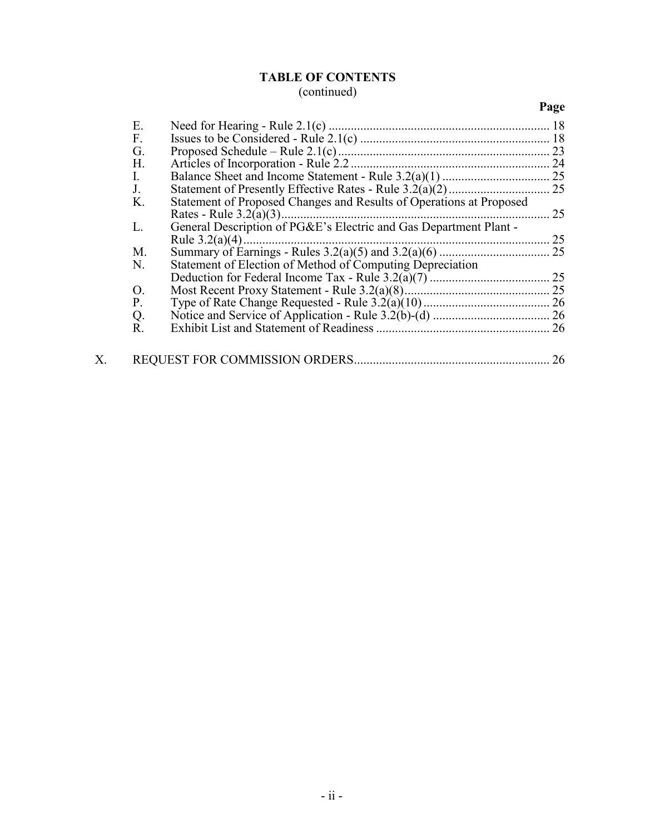## **TABLE OF CONTENTS** (continued)

# **Page**

|    | Ε.             |                                                                     |    |
|----|----------------|---------------------------------------------------------------------|----|
|    | F.             |                                                                     |    |
|    | G.             |                                                                     | 23 |
|    | H.             |                                                                     | 24 |
|    | $\mathbf{I}$ . |                                                                     |    |
|    | J.             |                                                                     |    |
|    | K.             | Statement of Proposed Changes and Results of Operations at Proposed |    |
|    |                |                                                                     | 25 |
|    | L.             | General Description of PG&E's Electric and Gas Department Plant -   |    |
|    |                |                                                                     | 25 |
|    | M.             |                                                                     |    |
|    | N.             | Statement of Election of Method of Computing Depreciation           |    |
|    |                |                                                                     | 25 |
|    | O.             |                                                                     |    |
|    | Ρ.             |                                                                     |    |
|    | Q.             |                                                                     |    |
|    | R.             |                                                                     |    |
| Х. |                |                                                                     | 26 |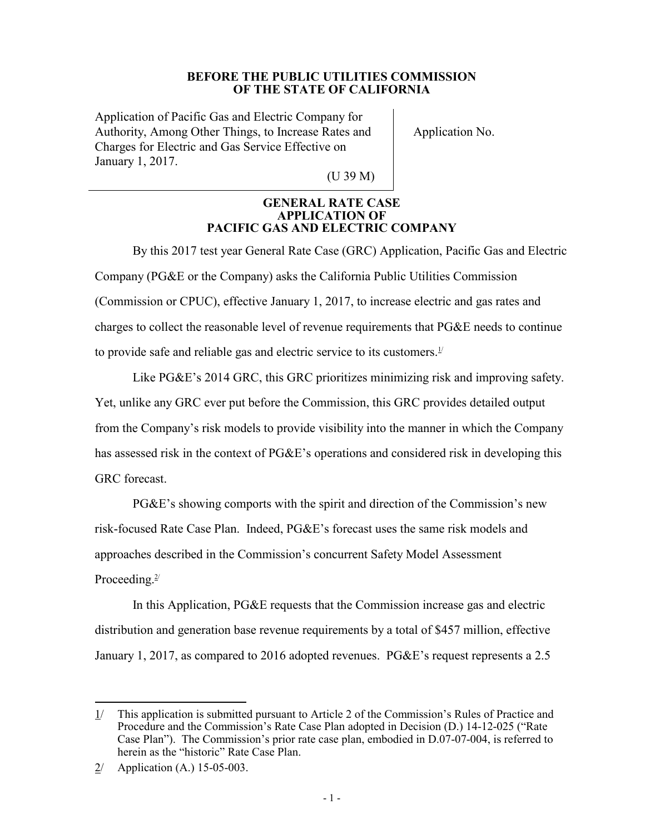#### **BEFORE THE PUBLIC UTILITIES COMMISSION OF THE STATE OF CALIFORNIA**

Application of Pacific Gas and Electric Company for Authority, Among Other Things, to Increase Rates and Charges for Electric and Gas Service Effective on January 1, 2017.

Application No.

(U 39 M)

#### **GENERAL RATE CASE APPLICATION OF PACIFIC GAS AND ELECTRIC COMPANY**

By this 2017 test year General Rate Case (GRC) Application, Pacific Gas and Electric Company (PG&E or the Company) asks the California Public Utilities Commission (Commission or CPUC), effective January 1, 2017, to increase electric and gas rates and charges to collect the reasonable level of revenue requirements that PG&E needs to continue to provide safe and reliable gas and electric service to its customers. $1/1$ 

Like PG&E's 2014 GRC, this GRC prioritizes minimizing risk and improving safety. Yet, unlike any GRC ever put before the Commission, this GRC provides detailed output from the Company's risk models to provide visibility into the manner in which the Company has assessed risk in the context of PG&E's operations and considered risk in developing this GRC forecast.

PG&E's showing comports with the spirit and direction of the Commission's new risk-focused Rate Case Plan. Indeed, PG&E's forecast uses the same risk models and approaches described in the Commission's concurrent Safety Model Assessment Proceeding.<sup>2/</sup>

In this Application, PG&E requests that the Commission increase gas and electric distribution and generation base revenue requirements by a total of \$457 million, effective January 1, 2017, as compared to 2016 adopted revenues. PG&E's request represents a 2.5

 $\overline{a}$ 1/ This application is submitted pursuant to Article 2 of the Commission's Rules of Practice and Procedure and the Commission's Rate Case Plan adopted in Decision (D.) 14-12-025 ("Rate Case Plan"). The Commission's prior rate case plan, embodied in D.07-07-004, is referred to herein as the "historic" Rate Case Plan.

<sup>2/</sup> Application (A.) 15-05-003.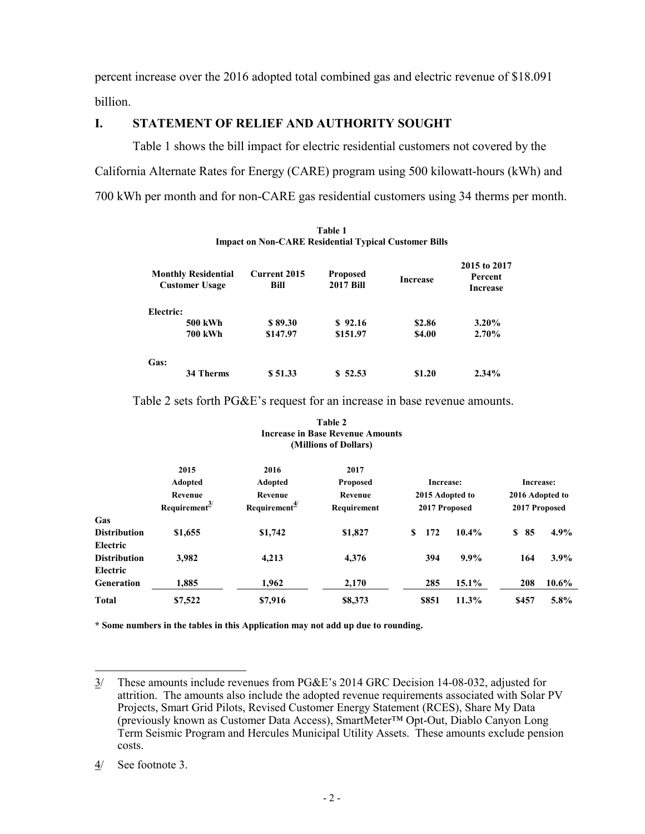percent increase over the 2016 adopted total combined gas and electric revenue of \$18.091 billion.

## **I. STATEMENT OF RELIEF AND AUTHORITY SOUGHT**

Table 1 shows the bill impact for electric residential customers not covered by the California Alternate Rates for Energy (CARE) program using 500 kilowatt-hours (kWh) and 700 kWh per month and for non-CARE gas residential customers using 34 therms per month.

|           | <b>Monthly Residential</b><br><b>Customer Usage</b> | Current 2015<br>Bill | <b>Proposed</b><br><b>2017 Bill</b> | <b>Increase</b> | 2015 to 2017<br>Percent<br><b>Increase</b> |
|-----------|-----------------------------------------------------|----------------------|-------------------------------------|-----------------|--------------------------------------------|
| Electric: |                                                     |                      |                                     |                 |                                            |
|           | <b>500 kWh</b>                                      | \$89.30              | \$92.16                             | \$2.86          | $3.20\%$                                   |
|           | <b>700 kWh</b>                                      | \$147.97             | \$151.97                            | \$4.00          | $2.70\%$                                   |
| Gas:      |                                                     |                      |                                     |                 |                                            |
|           | <b>34 Therms</b>                                    | \$51.33              | \$52.53                             | \$1.20          | $2.34\%$                                   |

| Table 1                                                      |  |
|--------------------------------------------------------------|--|
| <b>Impact on Non-CARE Residential Typical Customer Bills</b> |  |

Table 2 sets forth PG&E's request for an increase in base revenue amounts.

|                     |                           |                           | Table 2                                 |                 |         |                 |          |
|---------------------|---------------------------|---------------------------|-----------------------------------------|-----------------|---------|-----------------|----------|
|                     |                           |                           | <b>Increase in Base Revenue Amounts</b> |                 |         |                 |          |
|                     |                           |                           | (Millions of Dollars)                   |                 |         |                 |          |
|                     | 2015                      | 2016                      | 2017                                    |                 |         |                 |          |
|                     | Adopted                   | <b>Adopted</b>            | <b>Proposed</b>                         | Increase:       |         | Increase:       |          |
|                     | Revenue                   | Revenue                   | Revenue                                 | 2015 Adopted to |         | 2016 Adopted to |          |
|                     | Requirement $\frac{3}{2}$ | Requirement $\frac{4}{3}$ | Requirement                             | 2017 Proposed   |         | 2017 Proposed   |          |
| Gas                 |                           |                           |                                         |                 |         |                 |          |
| <b>Distribution</b> | \$1,655                   | \$1,742                   | \$1,827                                 | \$<br>172       | 10.4%   | S<br>85         | $4.9\%$  |
| Electric            |                           |                           |                                         |                 |         |                 |          |
| <b>Distribution</b> | 3,982                     | 4,213                     | 4,376                                   | 394             | $9.9\%$ | 164             | $3.9\%$  |
| Electric            |                           |                           |                                         |                 |         |                 |          |
| <b>Generation</b>   | 1,885                     | 1,962                     | 2,170                                   | 285             | 15.1%   | 208             | $10.6\%$ |
| <b>Total</b>        | \$7,522                   | \$7,916                   | \$8,373                                 | \$851           | 11.3%   | \$457           | $5.8\%$  |

**\* Some numbers in the tables in this Application may not add up due to rounding.** 

 $\overline{a}$ 3/ These amounts include revenues from PG&E's 2014 GRC Decision 14-08-032, adjusted for attrition. The amounts also include the adopted revenue requirements associated with Solar PV Projects, Smart Grid Pilots, Revised Customer Energy Statement (RCES), Share My Data (previously known as Customer Data Access), SmartMeter™ Opt-Out, Diablo Canyon Long Term Seismic Program and Hercules Municipal Utility Assets. These amounts exclude pension costs.

<sup>4/</sup> See footnote 3.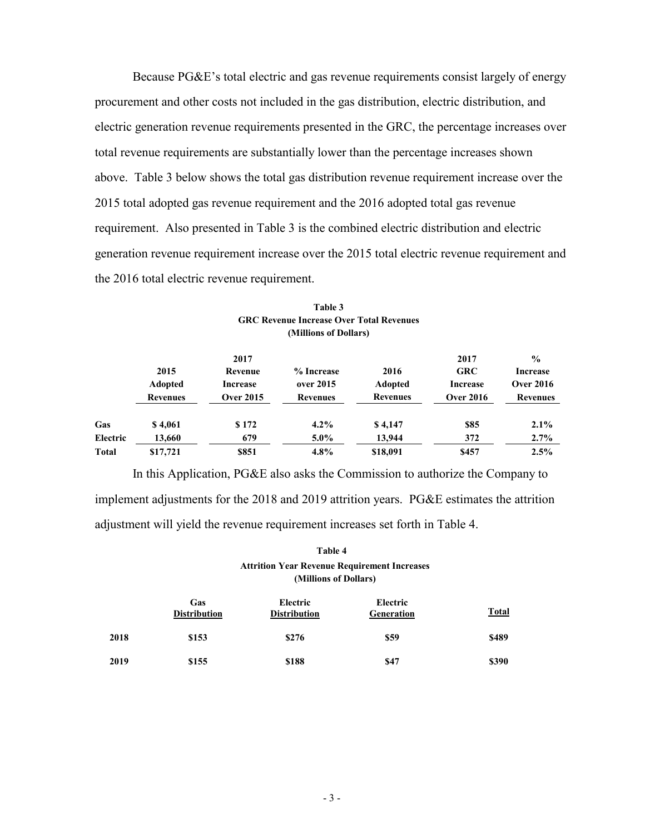Because PG&E's total electric and gas revenue requirements consist largely of energy procurement and other costs not included in the gas distribution, electric distribution, and electric generation revenue requirements presented in the GRC, the percentage increases over total revenue requirements are substantially lower than the percentage increases shown above. Table 3 below shows the total gas distribution revenue requirement increase over the 2015 total adopted gas revenue requirement and the 2016 adopted total gas revenue requirement. Also presented in Table 3 is the combined electric distribution and electric generation revenue requirement increase over the 2015 total electric revenue requirement and the 2016 total electric revenue requirement.

|              |                                           | 2017                                    |                                            |                                           | 2017                                       | $\frac{0}{0}$                                          |
|--------------|-------------------------------------------|-----------------------------------------|--------------------------------------------|-------------------------------------------|--------------------------------------------|--------------------------------------------------------|
|              | 2015<br><b>Adopted</b><br><b>Revenues</b> | Revenue<br>Increase<br><b>Over 2015</b> | % Increase<br>over 2015<br><b>Revenues</b> | 2016<br><b>Adopted</b><br><b>Revenues</b> | <b>GRC</b><br>Increase<br><b>Over 2016</b> | <b>Increase</b><br><b>Over 2016</b><br><b>Revenues</b> |
| Gas          | \$4,061                                   | \$172                                   | $4.2\%$                                    | \$4,147                                   | \$85                                       | 2.1%                                                   |
| Electric     | 13,660                                    | 679                                     | $5.0\%$                                    | 13,944                                    | 372                                        | 2.7%                                                   |
| <b>Total</b> | \$17,721                                  | \$851                                   | 4.8%                                       | \$18,091                                  | \$457                                      | 2.5%                                                   |

| Table 3                                         |
|-------------------------------------------------|
| <b>GRC Revenue Increase Over Total Revenues</b> |
| (Millions of Dollars)                           |

In this Application, PG&E also asks the Commission to authorize the Company to implement adjustments for the 2018 and 2019 attrition years. PG&E estimates the attrition adjustment will yield the revenue requirement increases set forth in Table 4.

#### **Table 4 Attrition Year Revenue Requirement Increases (Millions of Dollars)**

|      | Gas<br><b>Distribution</b> | Electric<br><b>Distribution</b> | Electric<br><b>Generation</b> | <b>Total</b> |
|------|----------------------------|---------------------------------|-------------------------------|--------------|
| 2018 | \$153                      | \$276                           | \$59                          | \$489        |
| 2019 | \$155                      | \$188                           | <b>\$47</b>                   | \$390        |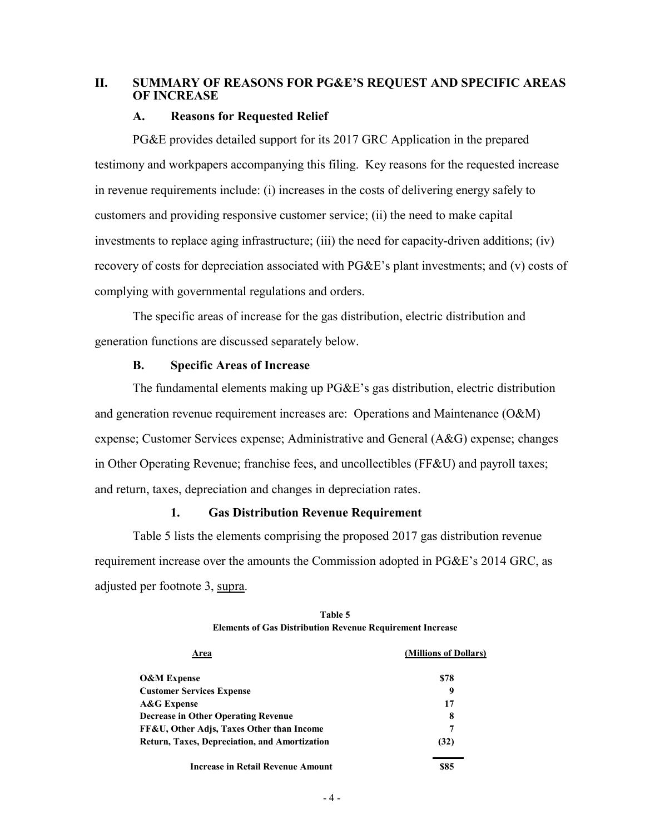## **II. SUMMARY OF REASONS FOR PG&E'S REQUEST AND SPECIFIC AREAS OF INCREASE**

#### **A. Reasons for Requested Relief**

PG&E provides detailed support for its 2017 GRC Application in the prepared testimony and workpapers accompanying this filing. Key reasons for the requested increase in revenue requirements include: (i) increases in the costs of delivering energy safely to customers and providing responsive customer service; (ii) the need to make capital investments to replace aging infrastructure; (iii) the need for capacity-driven additions; (iv) recovery of costs for depreciation associated with PG&E's plant investments; and (v) costs of complying with governmental regulations and orders.

The specific areas of increase for the gas distribution, electric distribution and generation functions are discussed separately below.

## **B. Specific Areas of Increase**

The fundamental elements making up PG&E's gas distribution, electric distribution and generation revenue requirement increases are: Operations and Maintenance (O&M) expense; Customer Services expense; Administrative and General (A&G) expense; changes in Other Operating Revenue; franchise fees, and uncollectibles (FF&U) and payroll taxes; and return, taxes, depreciation and changes in depreciation rates.

#### **1. Gas Distribution Revenue Requirement**

Table 5 lists the elements comprising the proposed 2017 gas distribution revenue requirement increase over the amounts the Commission adopted in PG&E's 2014 GRC, as adjusted per footnote 3, supra.

| <b>rea</b>                                           | (Millions of Dollars) |
|------------------------------------------------------|-----------------------|
| <b>O&amp;M Expense</b>                               | \$78                  |
| <b>Customer Services Expense</b>                     |                       |
| A&G Expense                                          | 17                    |
| <b>Decrease in Other Operating Revenue</b>           | 8                     |
| FF&U, Other Adjs, Taxes Other than Income            | 7                     |
| <b>Return, Taxes, Depreciation, and Amortization</b> | (32)                  |
| <b>Increase in Retail Revenue Amount</b>             | \$85                  |

**Table 5 Elements of Gas Distribution Revenue Requirement Increase**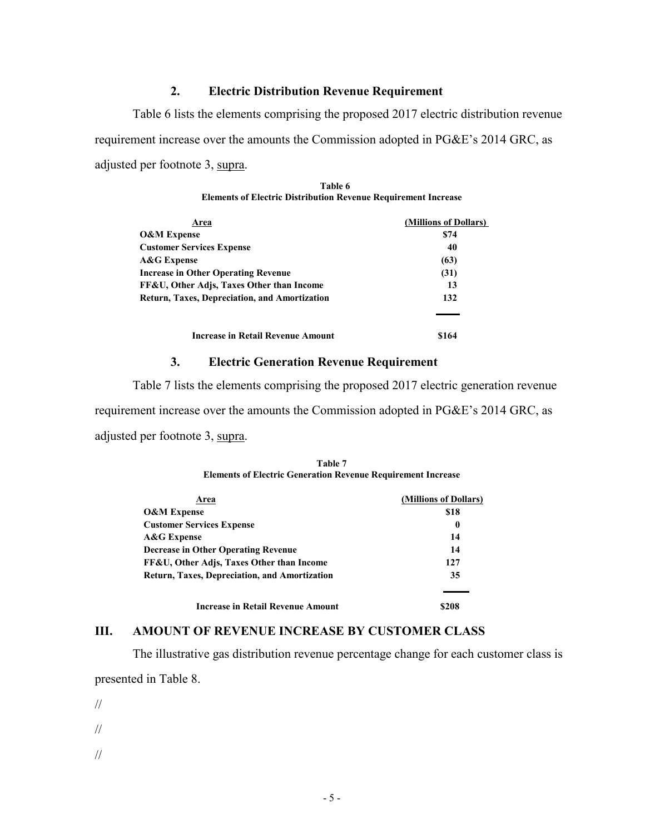#### **2. Electric Distribution Revenue Requirement**

Table 6 lists the elements comprising the proposed 2017 electric distribution revenue requirement increase over the amounts the Commission adopted in PG&E's 2014 GRC, as adjusted per footnote 3, supra.

| Table 6                                                               |
|-----------------------------------------------------------------------|
| <b>Elements of Electric Distribution Revenue Requirement Increase</b> |

| Area                                                 | (Millions of Dollars) |
|------------------------------------------------------|-----------------------|
| <b>O&amp;M Expense</b>                               | \$74                  |
| <b>Customer Services Expense</b>                     | 40                    |
| A&G Expense                                          | (63)                  |
| <b>Increase in Other Operating Revenue</b>           | (31)                  |
| FF&U, Other Adjs, Taxes Other than Income            | 13                    |
| <b>Return, Taxes, Depreciation, and Amortization</b> | 132                   |
|                                                      |                       |
| Increase in Retail Revenue Amount                    | \$164                 |

#### **3. Electric Generation Revenue Requirement**

Table 7 lists the elements comprising the proposed 2017 electric generation revenue requirement increase over the amounts the Commission adopted in PG&E's 2014 GRC, as adjusted per footnote 3, supra.

| Table 7                                                             |
|---------------------------------------------------------------------|
| <b>Elements of Electric Generation Revenue Requirement Increase</b> |

| Area                                          | (Millions of Dollars) |
|-----------------------------------------------|-----------------------|
| <b>O&amp;M</b> Expense                        | \$18                  |
| <b>Customer Services Expense</b>              | 0                     |
| <b>A&amp;G</b> Expense                        | 14                    |
| <b>Decrease in Other Operating Revenue</b>    | 14                    |
| FF&U, Other Adjs, Taxes Other than Income     | 127                   |
| Return, Taxes, Depreciation, and Amortization | 35                    |
|                                               |                       |
| <b>Increase in Retail Revenue Amount</b>      | \$208                 |

#### **III. AMOUNT OF REVENUE INCREASE BY CUSTOMER CLASS**

The illustrative gas distribution revenue percentage change for each customer class is presented in Table 8.

//

//

//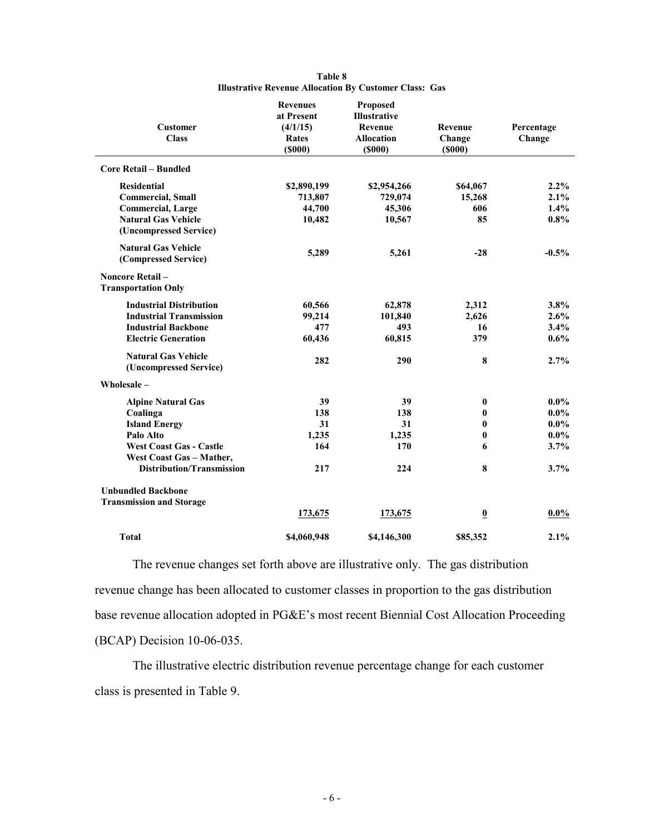| <b>Customer</b><br><b>Class</b>                       | <b>Revenues</b><br>at Present<br>(4/1/15)<br>Rates<br>(5000) | Proposed<br>Illustrative<br><b>Revenue</b><br><b>Allocation</b><br>$($ \$000 $)$ | Revenue<br>Change<br>(5000) | Percentage<br>Change |
|-------------------------------------------------------|--------------------------------------------------------------|----------------------------------------------------------------------------------|-----------------------------|----------------------|
| <b>Core Retail - Bundled</b>                          |                                                              |                                                                                  |                             |                      |
| <b>Residential</b>                                    | \$2,890,199                                                  | \$2,954,266                                                                      | \$64,067                    | 2.2%                 |
| <b>Commercial, Small</b>                              | 713,807                                                      | 729,074                                                                          | 15,268                      | 2.1%                 |
| <b>Commercial, Large</b>                              | 44,700                                                       | 45,306                                                                           | 606                         | 1.4%                 |
| <b>Natural Gas Vehicle</b>                            | 10,482                                                       | 10,567                                                                           | 85                          | $0.8\%$              |
| (Uncompressed Service)                                |                                                              |                                                                                  |                             |                      |
| <b>Natural Gas Vehicle</b><br>(Compressed Service)    | 5,289                                                        | 5,261                                                                            | $-28$                       | $-0.5\%$             |
| <b>Noncore Retail -</b><br><b>Transportation Only</b> |                                                              |                                                                                  |                             |                      |
| <b>Industrial Distribution</b>                        | 60,566                                                       | 62,878                                                                           | 2,312                       | 3.8%                 |
| <b>Industrial Transmission</b>                        | 99,214                                                       | 101,840                                                                          | 2,626                       | 2.6%                 |
| <b>Industrial Backbone</b>                            | 477                                                          | 493                                                                              | 16                          | 3.4%                 |
| <b>Electric Generation</b>                            | 60,436                                                       | 60,815                                                                           | 379                         | $0.6\%$              |
| <b>Natural Gas Vehicle</b><br>(Uncompressed Service)  | 282                                                          | 290                                                                              | 8                           | 2.7%                 |
| Wholesale-                                            |                                                              |                                                                                  |                             |                      |
| <b>Alpine Natural Gas</b>                             | 39                                                           | 39                                                                               | $\pmb{0}$                   | $0.0\%$              |
| Coalinga                                              | 138                                                          | 138                                                                              | $\bf{0}$                    | $0.0\%$              |
| <b>Island Energy</b>                                  | 31                                                           | 31                                                                               | $\bf{0}$                    | $0.0\%$              |
| Palo Alto                                             | 1,235                                                        | 1,235                                                                            | $\bf{0}$                    | $0.0\%$              |
| <b>West Coast Gas - Castle</b>                        | 164                                                          | 170                                                                              | 6                           | 3.7%                 |
| West Coast Gas - Mather,                              |                                                              |                                                                                  |                             |                      |
| <b>Distribution/Transmission</b>                      | 217                                                          | 224                                                                              | 8                           | 3.7%                 |
| <b>Unbundled Backbone</b>                             |                                                              |                                                                                  |                             |                      |
| <b>Transmission and Storage</b>                       |                                                              |                                                                                  |                             |                      |
|                                                       | 173,675                                                      | 173,675                                                                          | $\overline{\mathbf{0}}$     | $0.0\%$              |
| <b>Total</b>                                          | \$4,060,948                                                  | \$4,146,300                                                                      | \$85,352                    | 2.1%                 |

#### **Table 8 Illustrative Revenue Allocation By Customer Class: Gas**

The revenue changes set forth above are illustrative only. The gas distribution revenue change has been allocated to customer classes in proportion to the gas distribution base revenue allocation adopted in PG&E's most recent Biennial Cost Allocation Proceeding (BCAP) Decision 10-06-035.

The illustrative electric distribution revenue percentage change for each customer class is presented in Table 9.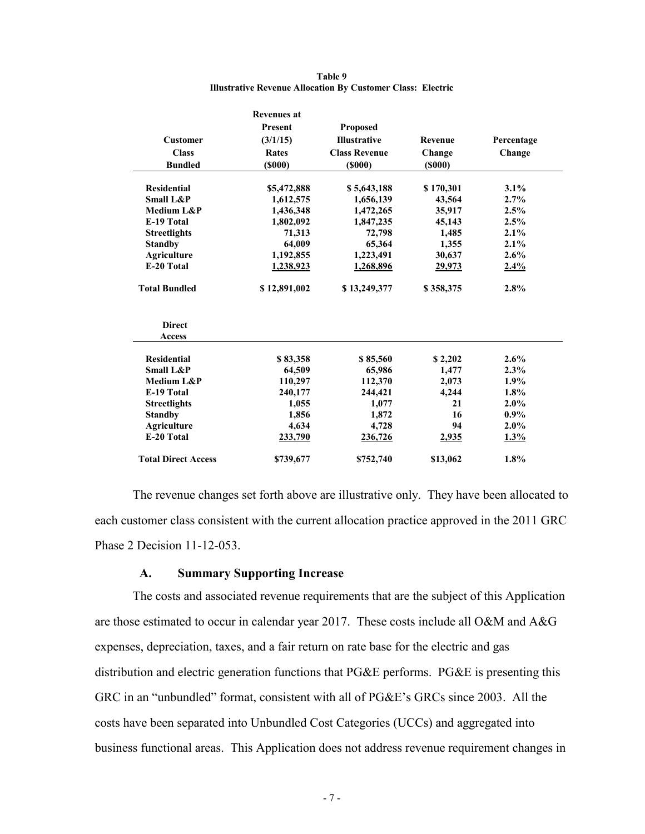|                            | <b>Revenues at</b> |                      |               |            |
|----------------------------|--------------------|----------------------|---------------|------------|
|                            | <b>Present</b>     | Proposed             |               |            |
| <b>Customer</b>            | (3/1/15)           | <b>Illustrative</b>  | Revenue       | Percentage |
| <b>Class</b>               | <b>Rates</b>       | <b>Class Revenue</b> | Change        | Change     |
| <b>Bundled</b>             | $($ \$000 $)$      | (5000)               | $($ \$000 $)$ |            |
|                            |                    |                      |               |            |
| <b>Residential</b>         | \$5,472,888        | \$5,643,188          | \$170,301     | 3.1%       |
| <b>Small L&amp;P</b>       | 1,612,575          | 1,656,139            | 43,564        | 2.7%       |
| Medium L&P                 | 1,436,348          | 1,472,265            | 35,917        | 2.5%       |
| E-19 Total                 | 1,802,092          | 1,847,235            | 45,143        | 2.5%       |
| <b>Streetlights</b>        | 71,313             | 72,798               | 1,485         | 2.1%       |
| <b>Standby</b>             | 64,009             | 65,364               | 1,355         | 2.1%       |
| <b>Agriculture</b>         | 1,192,855          | 1,223,491            | 30,637        | 2.6%       |
| E-20 Total                 | 1,238,923          | 1,268,896            | 29,973        | 2.4%       |
| <b>Total Bundled</b>       | \$12,891,002       | \$13,249,377         | \$358,375     | 2.8%       |
| <b>Direct</b>              |                    |                      |               |            |
| Access                     |                    |                      |               |            |
| <b>Residential</b>         | \$83,358           | \$85,560             | \$2,202       | 2.6%       |
| <b>Small L&amp;P</b>       | 64.509             | 65,986               | 1,477         | 2.3%       |
| Medium L&P                 | 110,297            | 112,370              | 2,073         | 1.9%       |
| E-19 Total                 | 240,177            | 244,421              | 4,244         | 1.8%       |
| <b>Streetlights</b>        | 1,055              | 1,077                | 21            | 2.0%       |
| <b>Standby</b>             | 1,856              | 1,872                | 16            | $0.9\%$    |
| <b>Agriculture</b>         | 4.634              | 4,728                | 94            | 2.0%       |
| E-20 Total                 | 233,790            | 236,726              | 2,935         | 1.3%       |
| <b>Total Direct Access</b> | \$739,677          | \$752,740            | \$13,062      | 1.8%       |

#### **Table 9 Illustrative Revenue Allocation By Customer Class: Electric**

The revenue changes set forth above are illustrative only. They have been allocated to each customer class consistent with the current allocation practice approved in the 2011 GRC Phase 2 Decision 11-12-053.

#### **A. Summary Supporting Increase**

The costs and associated revenue requirements that are the subject of this Application are those estimated to occur in calendar year 2017. These costs include all O&M and A&G expenses, depreciation, taxes, and a fair return on rate base for the electric and gas distribution and electric generation functions that PG&E performs. PG&E is presenting this GRC in an "unbundled" format, consistent with all of PG&E's GRCs since 2003. All the costs have been separated into Unbundled Cost Categories (UCCs) and aggregated into business functional areas. This Application does not address revenue requirement changes in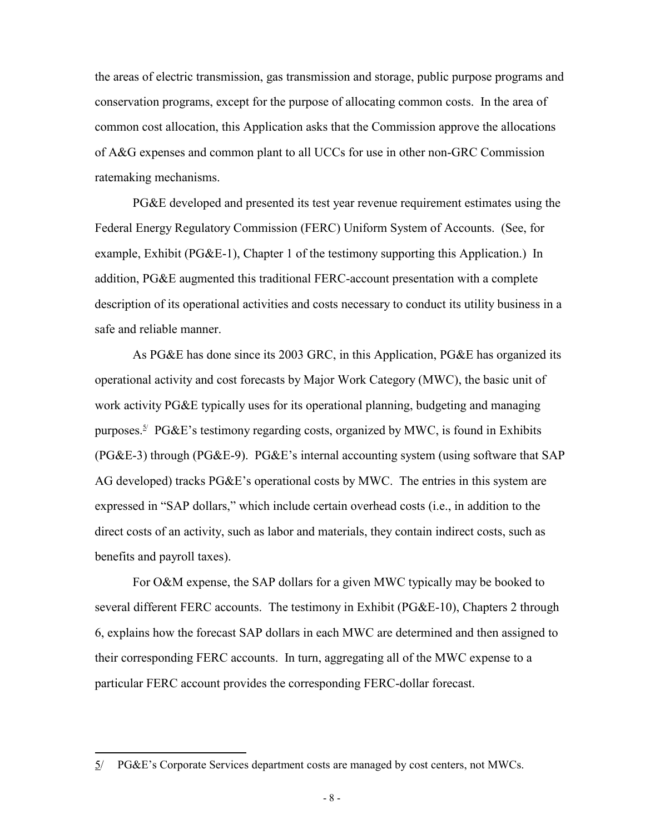the areas of electric transmission, gas transmission and storage, public purpose programs and conservation programs, except for the purpose of allocating common costs. In the area of common cost allocation, this Application asks that the Commission approve the allocations of A&G expenses and common plant to all UCCs for use in other non-GRC Commission ratemaking mechanisms.

PG&E developed and presented its test year revenue requirement estimates using the Federal Energy Regulatory Commission (FERC) Uniform System of Accounts. (See, for example, Exhibit (PG&E-1), Chapter 1 of the testimony supporting this Application.) In addition, PG&E augmented this traditional FERC-account presentation with a complete description of its operational activities and costs necessary to conduct its utility business in a safe and reliable manner.

As PG&E has done since its 2003 GRC, in this Application, PG&E has organized its operational activity and cost forecasts by Major Work Category (MWC), the basic unit of work activity PG&E typically uses for its operational planning, budgeting and managing purposes.<sup>5/</sup> PG&E's testimony regarding costs, organized by MWC, is found in Exhibits (PG&E-3) through (PG&E-9). PG&E's internal accounting system (using software that SAP AG developed) tracks PG&E's operational costs by MWC. The entries in this system are expressed in "SAP dollars," which include certain overhead costs (i.e., in addition to the direct costs of an activity, such as labor and materials, they contain indirect costs, such as benefits and payroll taxes).

For O&M expense, the SAP dollars for a given MWC typically may be booked to several different FERC accounts. The testimony in Exhibit (PG&E-10), Chapters 2 through 6, explains how the forecast SAP dollars in each MWC are determined and then assigned to their corresponding FERC accounts. In turn, aggregating all of the MWC expense to a particular FERC account provides the corresponding FERC-dollar forecast.

<sup>5/</sup> PG&E's Corporate Services department costs are managed by cost centers, not MWCs.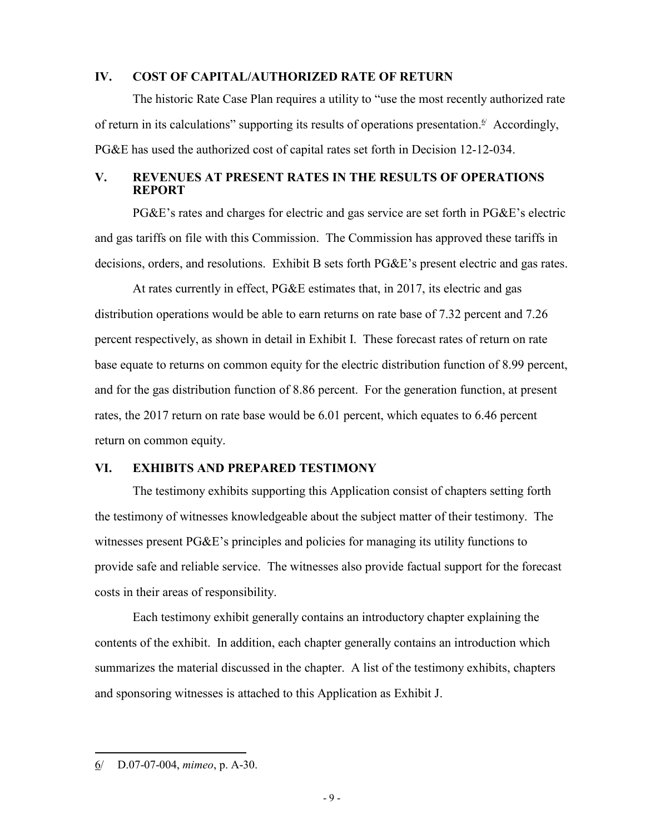#### **IV. COST OF CAPITAL/AUTHORIZED RATE OF RETURN**

The historic Rate Case Plan requires a utility to "use the most recently authorized rate of return in its calculations" supporting its results of operations presentation.<sup> $\mathfrak{g}'$ </sup> Accordingly, PG&E has used the authorized cost of capital rates set forth in Decision 12-12-034.

#### **V. REVENUES AT PRESENT RATES IN THE RESULTS OF OPERATIONS REPORT**

PG&E's rates and charges for electric and gas service are set forth in PG&E's electric and gas tariffs on file with this Commission. The Commission has approved these tariffs in decisions, orders, and resolutions. Exhibit B sets forth PG&E's present electric and gas rates.

At rates currently in effect, PG&E estimates that, in 2017, its electric and gas distribution operations would be able to earn returns on rate base of 7.32 percent and 7.26 percent respectively, as shown in detail in Exhibit I. These forecast rates of return on rate base equate to returns on common equity for the electric distribution function of 8.99 percent, and for the gas distribution function of 8.86 percent. For the generation function, at present rates, the 2017 return on rate base would be 6.01 percent, which equates to 6.46 percent return on common equity.

#### **VI. EXHIBITS AND PREPARED TESTIMONY**

The testimony exhibits supporting this Application consist of chapters setting forth the testimony of witnesses knowledgeable about the subject matter of their testimony. The witnesses present PG&E's principles and policies for managing its utility functions to provide safe and reliable service. The witnesses also provide factual support for the forecast costs in their areas of responsibility.

Each testimony exhibit generally contains an introductory chapter explaining the contents of the exhibit. In addition, each chapter generally contains an introduction which summarizes the material discussed in the chapter. A list of the testimony exhibits, chapters and sponsoring witnesses is attached to this Application as Exhibit J.

<sup>6/</sup> D.07-07-004, *mimeo*, p. A-30.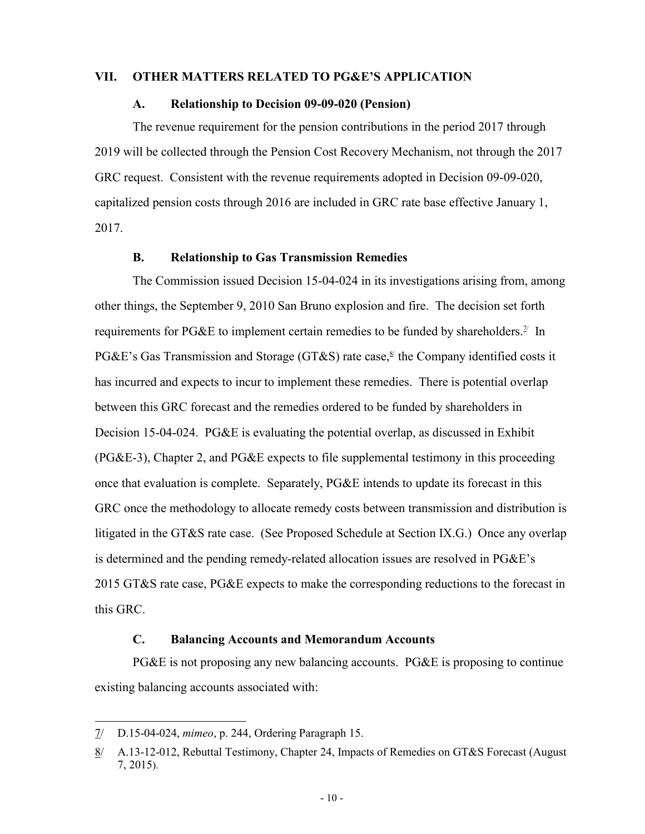#### **VII. OTHER MATTERS RELATED TO PG&E'S APPLICATION**

#### **A. Relationship to Decision 09-09-020 (Pension)**

The revenue requirement for the pension contributions in the period 2017 through 2019 will be collected through the Pension Cost Recovery Mechanism, not through the 2017 GRC request. Consistent with the revenue requirements adopted in Decision 09-09-020, capitalized pension costs through 2016 are included in GRC rate base effective January 1, 2017.

#### **B. Relationship to Gas Transmission Remedies**

The Commission issued Decision 15-04-024 in its investigations arising from, among other things, the September 9, 2010 San Bruno explosion and fire. The decision set forth requirements for PG&E to implement certain remedies to be funded by shareholders.<sup>2/</sup> In PG&E's Gas Transmission and Storage (GT&S) rate case,<sup>8/</sup> the Company identified costs it has incurred and expects to incur to implement these remedies. There is potential overlap between this GRC forecast and the remedies ordered to be funded by shareholders in Decision 15-04-024. PG&E is evaluating the potential overlap, as discussed in Exhibit  $(PG&E-3)$ , Chapter 2, and PG $&E$  expects to file supplemental testimony in this proceeding once that evaluation is complete. Separately, PG&E intends to update its forecast in this GRC once the methodology to allocate remedy costs between transmission and distribution is litigated in the GT&S rate case. (See Proposed Schedule at Section IX.G.) Once any overlap is determined and the pending remedy-related allocation issues are resolved in PG&E's 2015 GT&S rate case, PG&E expects to make the corresponding reductions to the forecast in this GRC.

## **C. Balancing Accounts and Memorandum Accounts**

PG&E is not proposing any new balancing accounts. PG&E is proposing to continue existing balancing accounts associated with:

<sup>7/</sup> D.15-04-024, *mimeo*, p. 244, Ordering Paragraph 15.

<sup>8/</sup> A.13-12-012, Rebuttal Testimony, Chapter 24, Impacts of Remedies on GT&S Forecast (August 7, 2015).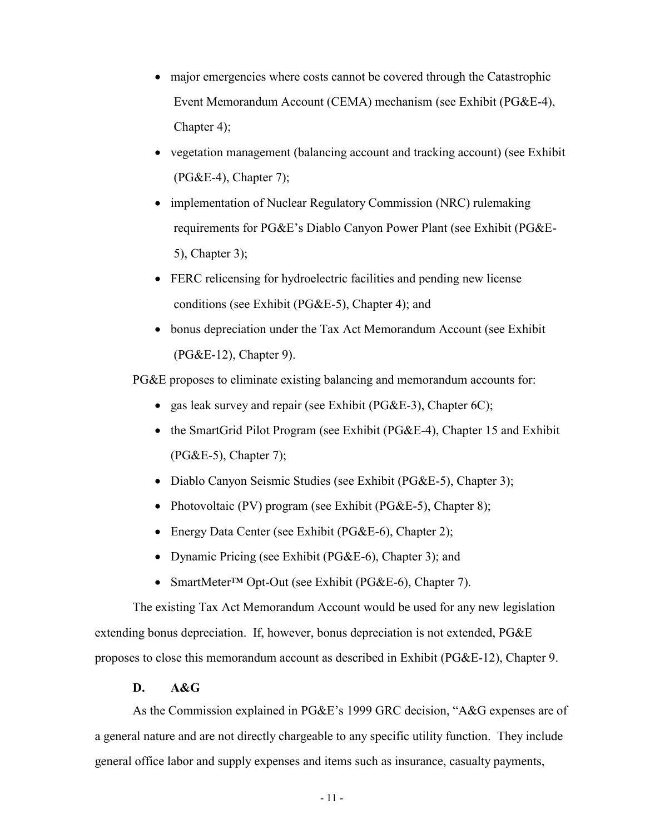- major emergencies where costs cannot be covered through the Catastrophic Event Memorandum Account (CEMA) mechanism (see Exhibit (PG&E-4), Chapter 4);
- vegetation management (balancing account and tracking account) (see Exhibit  $(PG&E-4)$ , Chapter 7);
- implementation of Nuclear Regulatory Commission (NRC) rulemaking requirements for PG&E's Diablo Canyon Power Plant (see Exhibit (PG&E-5), Chapter 3);
- FERC relicensing for hydroelectric facilities and pending new license conditions (see Exhibit (PG&E-5), Chapter 4); and
- bonus depreciation under the Tax Act Memorandum Account (see Exhibit (PG&E-12), Chapter 9).

PG&E proposes to eliminate existing balancing and memorandum accounts for:

- gas leak survey and repair (see Exhibit ( $PG&E-3$ ), Chapter  $6C$ );
- the SmartGrid Pilot Program (see Exhibit (PG&E-4), Chapter 15 and Exhibit  $(PG&E-5)$ , Chapter 7);
- Diablo Canyon Seismic Studies (see Exhibit (PG&E-5), Chapter 3);
- Photovoltaic (PV) program (see Exhibit (PG&E-5), Chapter 8);
- Energy Data Center (see Exhibit (PG&E-6), Chapter 2);
- Dynamic Pricing (see Exhibit (PG&E-6), Chapter 3); and
- SmartMeter™ Opt-Out (see Exhibit (PG&E-6), Chapter 7).

The existing Tax Act Memorandum Account would be used for any new legislation extending bonus depreciation. If, however, bonus depreciation is not extended, PG&E proposes to close this memorandum account as described in Exhibit (PG&E-12), Chapter 9.

## **D. A&G**

As the Commission explained in PG&E's 1999 GRC decision, "A&G expenses are of a general nature and are not directly chargeable to any specific utility function. They include general office labor and supply expenses and items such as insurance, casualty payments,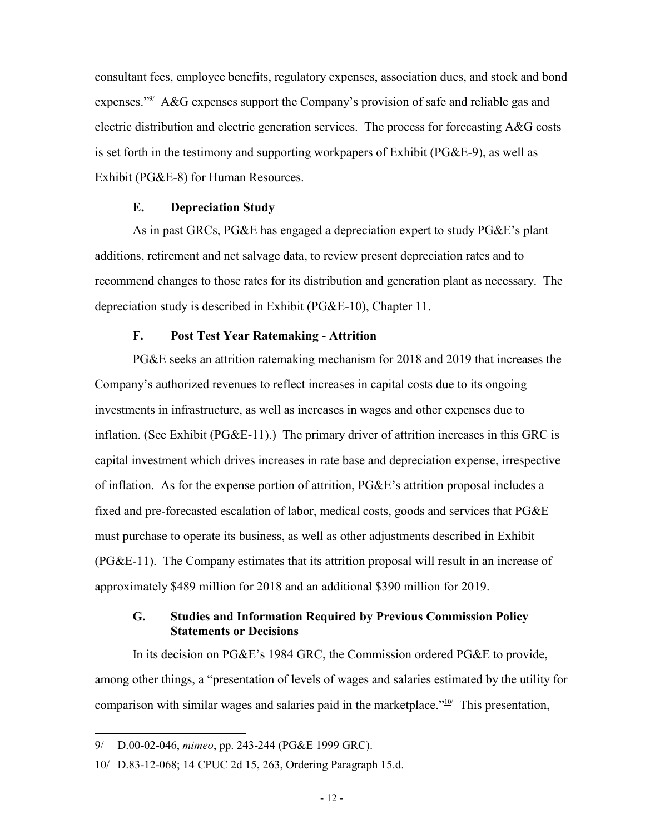consultant fees, employee benefits, regulatory expenses, association dues, and stock and bond expenses."<sup>9/</sup> A&G expenses support the Company's provision of safe and reliable gas and electric distribution and electric generation services. The process for forecasting A&G costs is set forth in the testimony and supporting workpapers of Exhibit (PG&E-9), as well as Exhibit (PG&E-8) for Human Resources.

#### **E. Depreciation Study**

As in past GRCs, PG&E has engaged a depreciation expert to study PG&E's plant additions, retirement and net salvage data, to review present depreciation rates and to recommend changes to those rates for its distribution and generation plant as necessary. The depreciation study is described in Exhibit (PG&E-10), Chapter 11.

## **F. Post Test Year Ratemaking - Attrition**

PG&E seeks an attrition ratemaking mechanism for 2018 and 2019 that increases the Company's authorized revenues to reflect increases in capital costs due to its ongoing investments in infrastructure, as well as increases in wages and other expenses due to inflation. (See Exhibit (PG&E-11).) The primary driver of attrition increases in this GRC is capital investment which drives increases in rate base and depreciation expense, irrespective of inflation. As for the expense portion of attrition, PG&E's attrition proposal includes a fixed and pre-forecasted escalation of labor, medical costs, goods and services that PG&E must purchase to operate its business, as well as other adjustments described in Exhibit (PG&E-11). The Company estimates that its attrition proposal will result in an increase of approximately \$489 million for 2018 and an additional \$390 million for 2019.

## **G. Studies and Information Required by Previous Commission Policy Statements or Decisions**

In its decision on PG&E's 1984 GRC, the Commission ordered PG&E to provide, among other things, a "presentation of levels of wages and salaries estimated by the utility for comparison with similar wages and salaries paid in the marketplace." $10^{\circ}$  This presentation,

<sup>9/</sup> D.00-02-046, *mimeo*, pp. 243-244 (PG&E 1999 GRC).

<sup>10/</sup> D.83-12-068; 14 CPUC 2d 15, 263, Ordering Paragraph 15.d.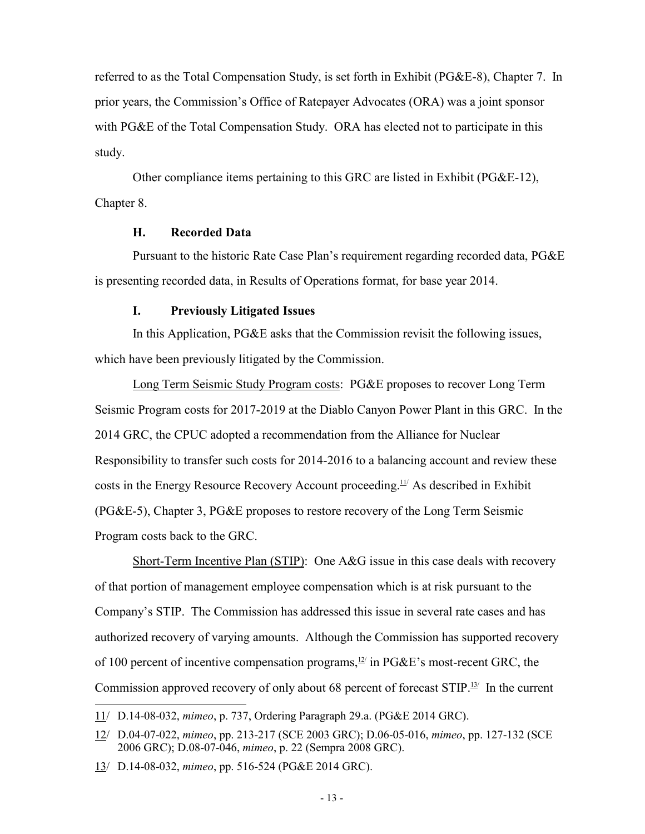referred to as the Total Compensation Study, is set forth in Exhibit (PG&E-8), Chapter 7. In prior years, the Commission's Office of Ratepayer Advocates (ORA) was a joint sponsor with PG&E of the Total Compensation Study. ORA has elected not to participate in this study.

Other compliance items pertaining to this GRC are listed in Exhibit (PG&E-12), Chapter 8.

## **H. Recorded Data**

Pursuant to the historic Rate Case Plan's requirement regarding recorded data, PG&E is presenting recorded data, in Results of Operations format, for base year 2014.

#### **I. Previously Litigated Issues**

In this Application, PG&E asks that the Commission revisit the following issues, which have been previously litigated by the Commission.

Long Term Seismic Study Program costs: PG&E proposes to recover Long Term Seismic Program costs for 2017-2019 at the Diablo Canyon Power Plant in this GRC. In the 2014 GRC, the CPUC adopted a recommendation from the Alliance for Nuclear Responsibility to transfer such costs for 2014-2016 to a balancing account and review these costs in the Energy Resource Recovery Account proceeding.<sup>11/</sup> As described in Exhibit (PG&E-5), Chapter 3, PG&E proposes to restore recovery of the Long Term Seismic Program costs back to the GRC.

Short-Term Incentive Plan (STIP): One A&G issue in this case deals with recovery of that portion of management employee compensation which is at risk pursuant to the Company's STIP. The Commission has addressed this issue in several rate cases and has authorized recovery of varying amounts. Although the Commission has supported recovery of 100 percent of incentive compensation programs,  $12$  in PG&E's most-recent GRC, the Commission approved recovery of only about 68 percent of forecast  $STIP$ .<sup>13/</sup> In the current

 $\overline{a}$ 11/ D.14-08-032, *mimeo*, p. 737, Ordering Paragraph 29.a. (PG&E 2014 GRC).

<sup>12/</sup> D.04-07-022, *mimeo*, pp. 213-217 (SCE 2003 GRC); D.06-05-016, *mimeo*, pp. 127-132 (SCE 2006 GRC); D.08-07-046, *mimeo*, p. 22 (Sempra 2008 GRC).

<sup>13/</sup> D.14-08-032, *mimeo*, pp. 516-524 (PG&E 2014 GRC).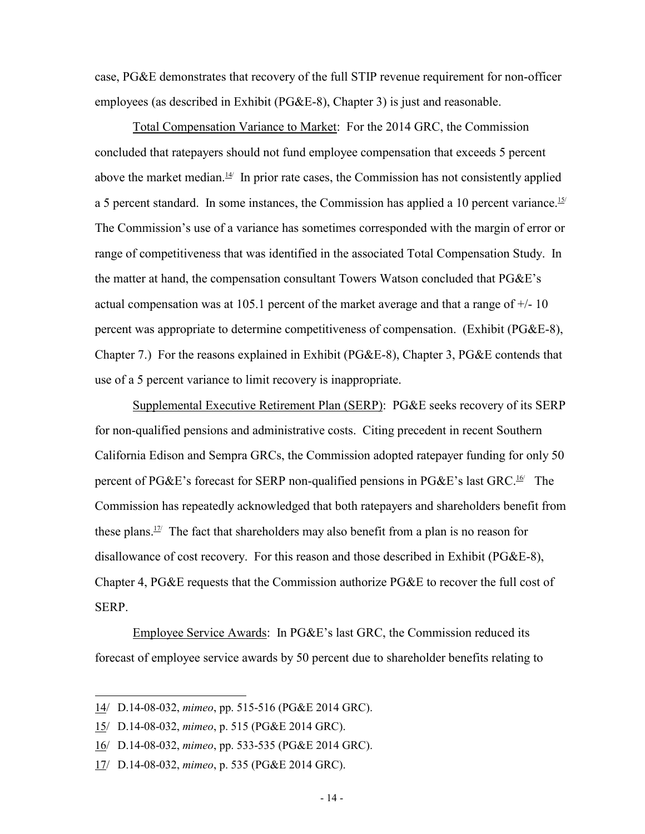case, PG&E demonstrates that recovery of the full STIP revenue requirement for non-officer employees (as described in Exhibit (PG&E-8), Chapter 3) is just and reasonable.

Total Compensation Variance to Market: For the 2014 GRC, the Commission concluded that ratepayers should not fund employee compensation that exceeds 5 percent above the market median. $\frac{14}{1}$  In prior rate cases, the Commission has not consistently applied a 5 percent standard. In some instances, the Commission has applied a 10 percent variance.<sup>15/</sup> The Commission's use of a variance has sometimes corresponded with the margin of error or range of competitiveness that was identified in the associated Total Compensation Study. In the matter at hand, the compensation consultant Towers Watson concluded that PG&E's actual compensation was at 105.1 percent of the market average and that a range of  $+/$ -10 percent was appropriate to determine competitiveness of compensation. (Exhibit (PG&E-8), Chapter 7.) For the reasons explained in Exhibit (PG&E-8), Chapter 3, PG&E contends that use of a 5 percent variance to limit recovery is inappropriate.

Supplemental Executive Retirement Plan (SERP): PG&E seeks recovery of its SERP for non-qualified pensions and administrative costs. Citing precedent in recent Southern California Edison and Sempra GRCs, the Commission adopted ratepayer funding for only 50 percent of PG&E's forecast for SERP non-qualified pensions in PG&E's last GRC.<sup>16/</sup> The Commission has repeatedly acknowledged that both ratepayers and shareholders benefit from these plans.<sup>17/</sup> The fact that shareholders may also benefit from a plan is no reason for disallowance of cost recovery. For this reason and those described in Exhibit (PG&E-8), Chapter 4, PG&E requests that the Commission authorize PG&E to recover the full cost of SERP.

Employee Service Awards: In PG&E's last GRC, the Commission reduced its forecast of employee service awards by 50 percent due to shareholder benefits relating to

<sup>14/</sup> D.14-08-032, *mimeo*, pp. 515-516 (PG&E 2014 GRC).

<sup>15/</sup> D.14-08-032, *mimeo*, p. 515 (PG&E 2014 GRC).

<sup>16/</sup> D.14-08-032, *mimeo*, pp. 533-535 (PG&E 2014 GRC).

<sup>17/</sup> D.14-08-032, *mimeo*, p. 535 (PG&E 2014 GRC).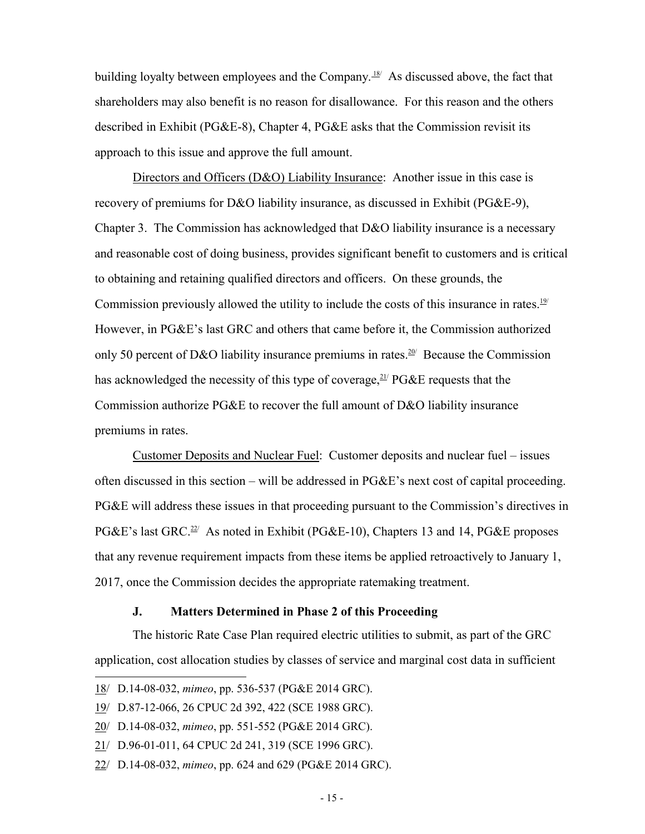building loyalty between employees and the Company.<sup>18/</sup> As discussed above, the fact that shareholders may also benefit is no reason for disallowance. For this reason and the others described in Exhibit (PG&E-8), Chapter 4, PG&E asks that the Commission revisit its approach to this issue and approve the full amount.

Directors and Officers (D&O) Liability Insurance: Another issue in this case is recovery of premiums for D&O liability insurance, as discussed in Exhibit (PG&E-9), Chapter 3. The Commission has acknowledged that D&O liability insurance is a necessary and reasonable cost of doing business, provides significant benefit to customers and is critical to obtaining and retaining qualified directors and officers. On these grounds, the Commission previously allowed the utility to include the costs of this insurance in rates.<sup>19/</sup> However, in PG&E's last GRC and others that came before it, the Commission authorized only 50 percent of D&O liability insurance premiums in rates.<sup>20/</sup> Because the Commission has acknowledged the necessity of this type of coverage,  $21/2$  PG&E requests that the Commission authorize PG&E to recover the full amount of D&O liability insurance premiums in rates.

Customer Deposits and Nuclear Fuel: Customer deposits and nuclear fuel – issues often discussed in this section – will be addressed in PG&E's next cost of capital proceeding. PG&E will address these issues in that proceeding pursuant to the Commission's directives in PG&E's last GRC.<sup>22/</sup> As noted in Exhibit (PG&E-10), Chapters 13 and 14, PG&E proposes that any revenue requirement impacts from these items be applied retroactively to January 1, 2017, once the Commission decides the appropriate ratemaking treatment.

#### **J. Matters Determined in Phase 2 of this Proceeding**

The historic Rate Case Plan required electric utilities to submit, as part of the GRC application, cost allocation studies by classes of service and marginal cost data in sufficient

<sup>18/</sup> D.14-08-032, *mimeo*, pp. 536-537 (PG&E 2014 GRC).

<sup>19/</sup> D.87-12-066, 26 CPUC 2d 392, 422 (SCE 1988 GRC).

<sup>20/</sup> D.14-08-032, *mimeo*, pp. 551-552 (PG&E 2014 GRC).

<sup>21/</sup> D.96-01-011, 64 CPUC 2d 241, 319 (SCE 1996 GRC).

<sup>22/</sup> D.14-08-032, *mimeo*, pp. 624 and 629 (PG&E 2014 GRC).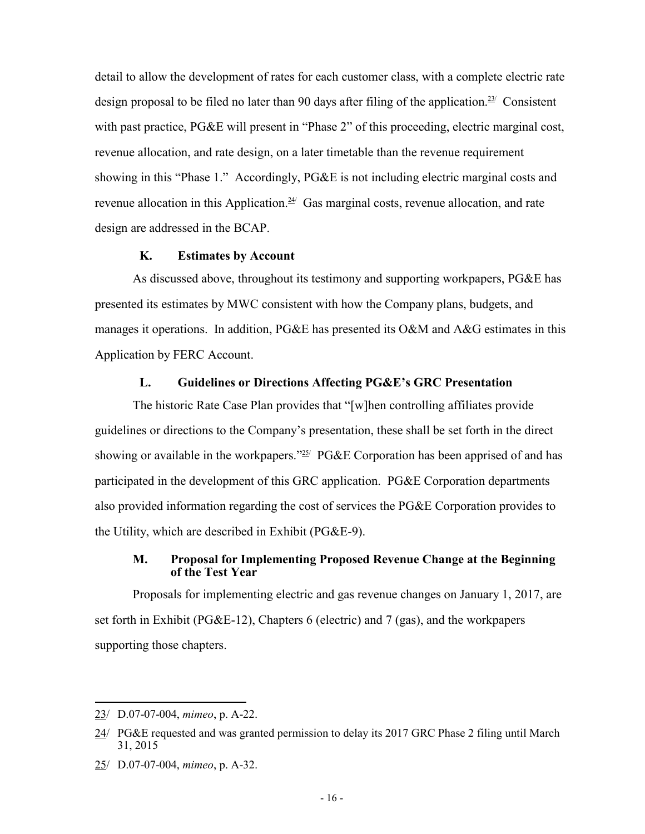detail to allow the development of rates for each customer class, with a complete electric rate design proposal to be filed no later than 90 days after filing of the application.<sup>23/</sup> Consistent with past practice, PG&E will present in "Phase 2" of this proceeding, electric marginal cost, revenue allocation, and rate design, on a later timetable than the revenue requirement showing in this "Phase 1." Accordingly, PG&E is not including electric marginal costs and revenue allocation in this Application.<sup> $24$ </sup> Gas marginal costs, revenue allocation, and rate design are addressed in the BCAP.

## **K. Estimates by Account**

As discussed above, throughout its testimony and supporting workpapers, PG&E has presented its estimates by MWC consistent with how the Company plans, budgets, and manages it operations. In addition, PG&E has presented its O&M and A&G estimates in this Application by FERC Account.

## **L. Guidelines or Directions Affecting PG&E's GRC Presentation**

The historic Rate Case Plan provides that "[w]hen controlling affiliates provide guidelines or directions to the Company's presentation, these shall be set forth in the direct showing or available in the workpapers."<sup>25/</sup> PG&E Corporation has been apprised of and has participated in the development of this GRC application. PG&E Corporation departments also provided information regarding the cost of services the PG&E Corporation provides to the Utility, which are described in Exhibit (PG&E-9).

#### **M. Proposal for Implementing Proposed Revenue Change at the Beginning of the Test Year**

Proposals for implementing electric and gas revenue changes on January 1, 2017, are set forth in Exhibit (PG&E-12), Chapters 6 (electric) and 7 (gas), and the workpapers supporting those chapters.

 $\overline{a}$ 

25/ D.07-07-004, *mimeo*, p. A-32.

<sup>23/</sup> D.07-07-004, *mimeo*, p. A-22.

<sup>24/</sup> PG&E requested and was granted permission to delay its 2017 GRC Phase 2 filing until March 31, 2015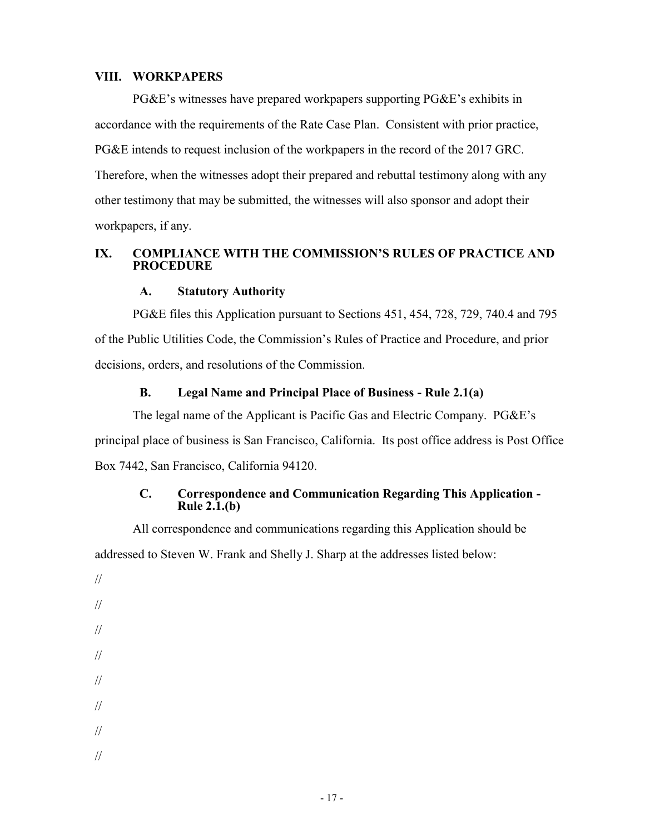#### **VIII. WORKPAPERS**

PG&E's witnesses have prepared workpapers supporting PG&E's exhibits in accordance with the requirements of the Rate Case Plan. Consistent with prior practice, PG&E intends to request inclusion of the workpapers in the record of the 2017 GRC. Therefore, when the witnesses adopt their prepared and rebuttal testimony along with any other testimony that may be submitted, the witnesses will also sponsor and adopt their workpapers, if any.

#### **IX. COMPLIANCE WITH THE COMMISSION'S RULES OF PRACTICE AND PROCEDURE**

## **A. Statutory Authority**

PG&E files this Application pursuant to Sections 451, 454, 728, 729, 740.4 and 795 of the Public Utilities Code, the Commission's Rules of Practice and Procedure, and prior decisions, orders, and resolutions of the Commission.

#### **B. Legal Name and Principal Place of Business - Rule 2.1(a)**

The legal name of the Applicant is Pacific Gas and Electric Company. PG&E's principal place of business is San Francisco, California. Its post office address is Post Office Box 7442, San Francisco, California 94120.

#### **C. Correspondence and Communication Regarding This Application - Rule 2.1.(b)**

All correspondence and communications regarding this Application should be addressed to Steven W. Frank and Shelly J. Sharp at the addresses listed below:

// // // // // // // //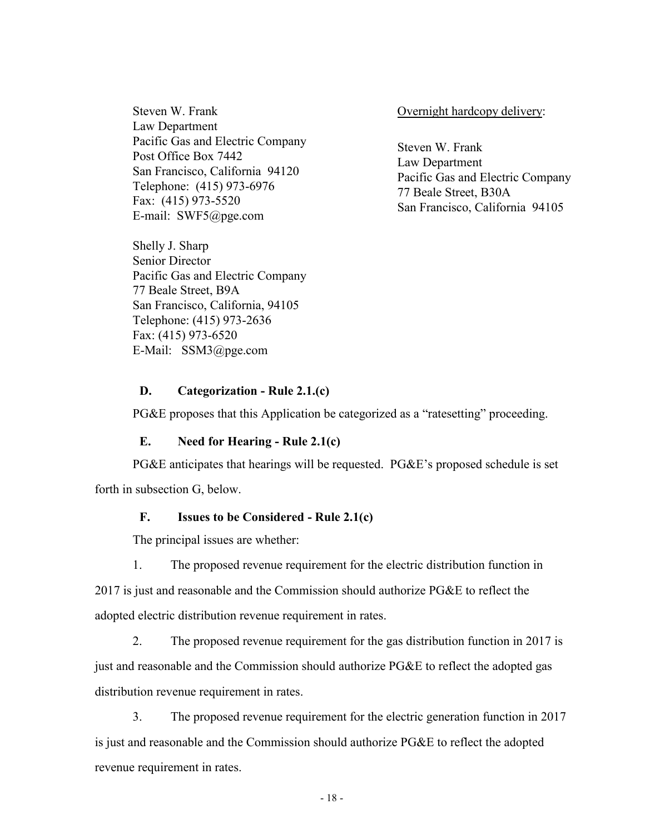Steven W. Frank Law Department Pacific Gas and Electric Company Post Office Box 7442 San Francisco, California 94120 Telephone: (415) 973-6976 Fax: (415) 973-5520 E-mail: SWF5@pge.com

Shelly J. Sharp Senior Director Pacific Gas and Electric Company 77 Beale Street, B9A San Francisco, California, 94105 Telephone: (415) 973-2636 Fax: (415) 973-6520 E-Mail: SSM3@pge.com

Overnight hardcopy delivery:

Steven W. Frank Law Department Pacific Gas and Electric Company 77 Beale Street, B30A San Francisco, California 94105

#### **D. Categorization - Rule 2.1.(c)**

PG&E proposes that this Application be categorized as a "ratesetting" proceeding.

#### **E. Need for Hearing - Rule 2.1(c)**

PG&E anticipates that hearings will be requested. PG&E's proposed schedule is set forth in subsection G, below.

#### **F. Issues to be Considered - Rule 2.1(c)**

The principal issues are whether:

1. The proposed revenue requirement for the electric distribution function in

2017 is just and reasonable and the Commission should authorize PG&E to reflect the adopted electric distribution revenue requirement in rates.

2. The proposed revenue requirement for the gas distribution function in 2017 is just and reasonable and the Commission should authorize PG&E to reflect the adopted gas distribution revenue requirement in rates.

3. The proposed revenue requirement for the electric generation function in 2017 is just and reasonable and the Commission should authorize PG&E to reflect the adopted revenue requirement in rates.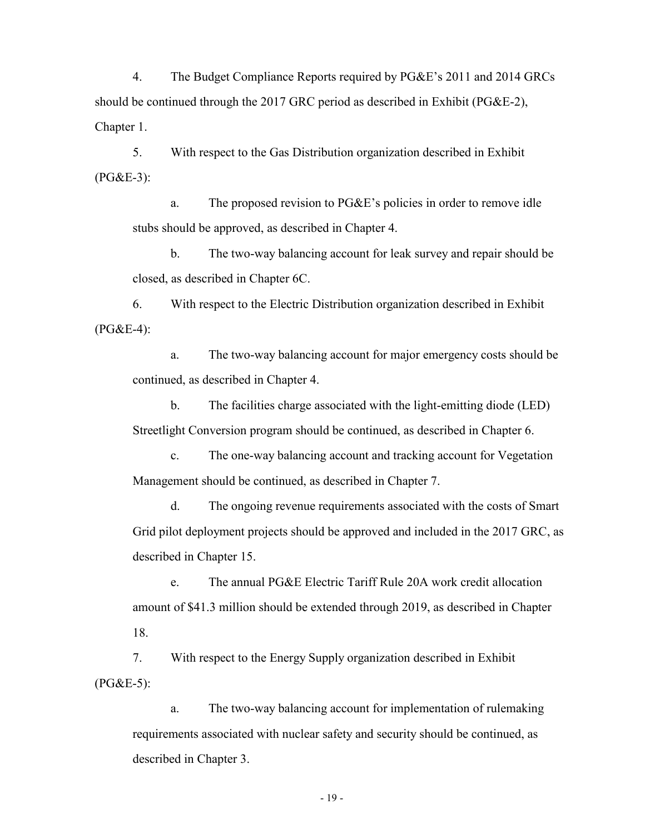4. The Budget Compliance Reports required by PG&E's 2011 and 2014 GRCs should be continued through the 2017 GRC period as described in Exhibit (PG&E-2), Chapter 1.

5. With respect to the Gas Distribution organization described in Exhibit (PG&E-3):

a. The proposed revision to PG&E's policies in order to remove idle stubs should be approved, as described in Chapter 4.

b. The two-way balancing account for leak survey and repair should be closed, as described in Chapter 6C.

6. With respect to the Electric Distribution organization described in Exhibit (PG&E-4):

a. The two-way balancing account for major emergency costs should be continued, as described in Chapter 4.

b. The facilities charge associated with the light-emitting diode (LED) Streetlight Conversion program should be continued, as described in Chapter 6.

c. The one-way balancing account and tracking account for Vegetation Management should be continued, as described in Chapter 7.

d. The ongoing revenue requirements associated with the costs of Smart Grid pilot deployment projects should be approved and included in the 2017 GRC, as described in Chapter 15.

e. The annual PG&E Electric Tariff Rule 20A work credit allocation amount of \$41.3 million should be extended through 2019, as described in Chapter 18.

7. With respect to the Energy Supply organization described in Exhibit  $(PG&E-5)$ :

a. The two-way balancing account for implementation of rulemaking requirements associated with nuclear safety and security should be continued, as described in Chapter 3.

- 19 -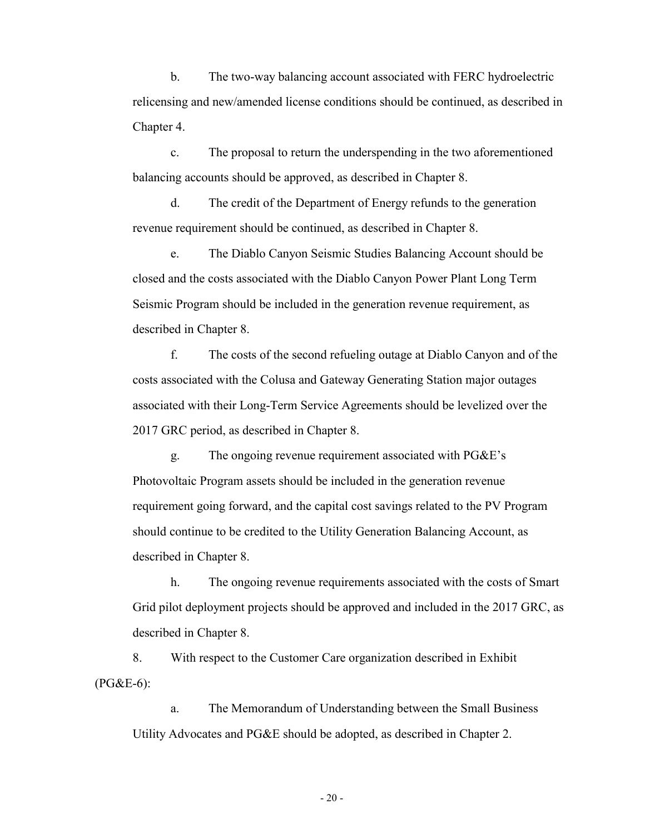b. The two-way balancing account associated with FERC hydroelectric relicensing and new/amended license conditions should be continued, as described in Chapter 4.

c. The proposal to return the underspending in the two aforementioned balancing accounts should be approved, as described in Chapter 8.

d. The credit of the Department of Energy refunds to the generation revenue requirement should be continued, as described in Chapter 8.

e. The Diablo Canyon Seismic Studies Balancing Account should be closed and the costs associated with the Diablo Canyon Power Plant Long Term Seismic Program should be included in the generation revenue requirement, as described in Chapter 8.

f. The costs of the second refueling outage at Diablo Canyon and of the costs associated with the Colusa and Gateway Generating Station major outages associated with their Long-Term Service Agreements should be levelized over the 2017 GRC period, as described in Chapter 8.

g. The ongoing revenue requirement associated with PG&E's Photovoltaic Program assets should be included in the generation revenue requirement going forward, and the capital cost savings related to the PV Program should continue to be credited to the Utility Generation Balancing Account, as described in Chapter 8.

h. The ongoing revenue requirements associated with the costs of Smart Grid pilot deployment projects should be approved and included in the 2017 GRC, as described in Chapter 8.

8. With respect to the Customer Care organization described in Exhibit (PG&E-6):

a. The Memorandum of Understanding between the Small Business Utility Advocates and PG&E should be adopted, as described in Chapter 2.

- 20 -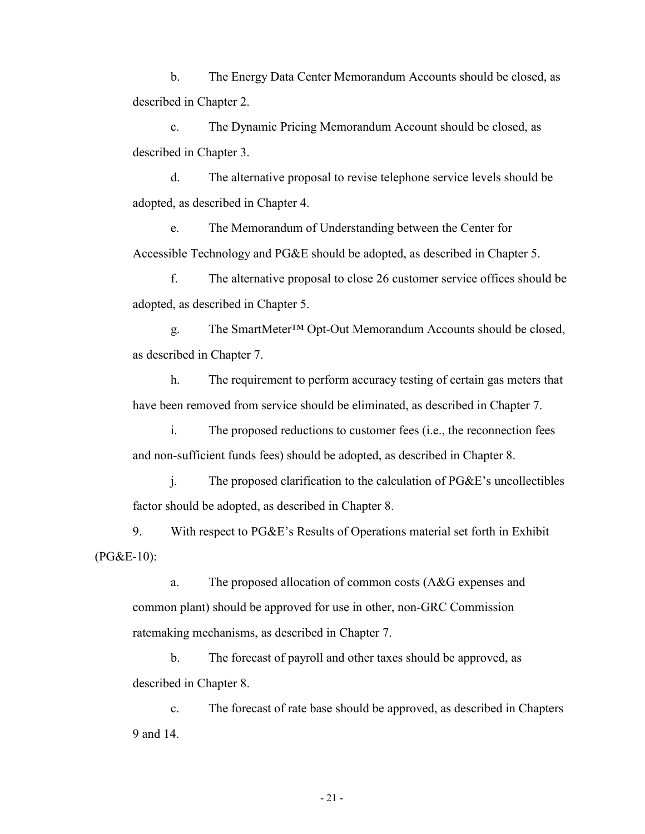b. The Energy Data Center Memorandum Accounts should be closed, as described in Chapter 2.

c. The Dynamic Pricing Memorandum Account should be closed, as described in Chapter 3.

d. The alternative proposal to revise telephone service levels should be adopted, as described in Chapter 4.

e. The Memorandum of Understanding between the Center for Accessible Technology and PG&E should be adopted, as described in Chapter 5.

f. The alternative proposal to close 26 customer service offices should be adopted, as described in Chapter 5.

g. The SmartMeter™ Opt-Out Memorandum Accounts should be closed, as described in Chapter 7.

h. The requirement to perform accuracy testing of certain gas meters that have been removed from service should be eliminated, as described in Chapter 7.

i. The proposed reductions to customer fees (i.e., the reconnection fees and non-sufficient funds fees) should be adopted, as described in Chapter 8.

j. The proposed clarification to the calculation of PG&E's uncollectibles factor should be adopted, as described in Chapter 8.

9. With respect to PG&E's Results of Operations material set forth in Exhibit (PG&E-10):

a. The proposed allocation of common costs (A&G expenses and common plant) should be approved for use in other, non-GRC Commission ratemaking mechanisms, as described in Chapter 7.

b. The forecast of payroll and other taxes should be approved, as described in Chapter 8.

c. The forecast of rate base should be approved, as described in Chapters 9 and 14.

- 21 -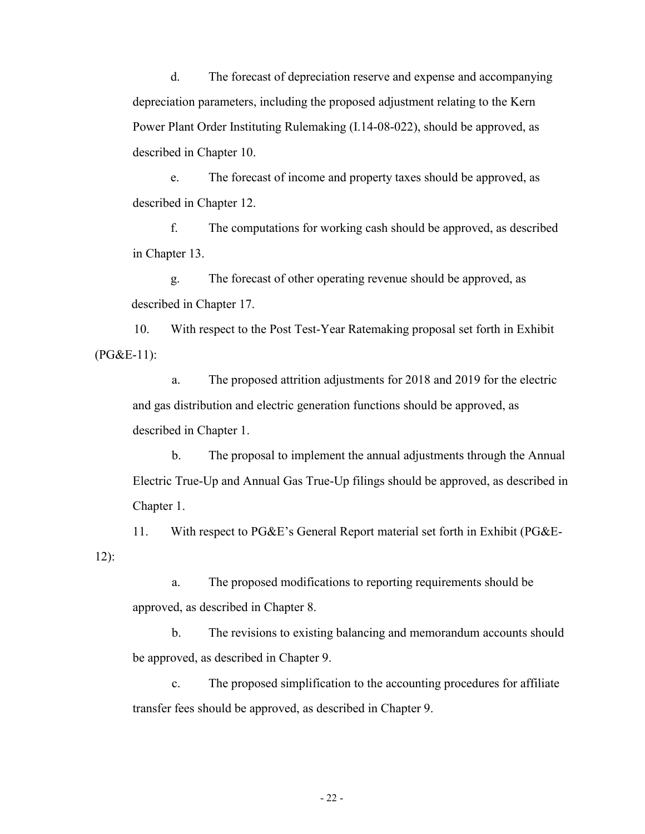d. The forecast of depreciation reserve and expense and accompanying depreciation parameters, including the proposed adjustment relating to the Kern Power Plant Order Instituting Rulemaking (I.14-08-022), should be approved, as described in Chapter 10.

e. The forecast of income and property taxes should be approved, as described in Chapter 12.

f. The computations for working cash should be approved, as described in Chapter 13.

g. The forecast of other operating revenue should be approved, as described in Chapter 17.

10. With respect to the Post Test-Year Ratemaking proposal set forth in Exhibit (PG&E-11):

a. The proposed attrition adjustments for 2018 and 2019 for the electric and gas distribution and electric generation functions should be approved, as described in Chapter 1.

b. The proposal to implement the annual adjustments through the Annual Electric True-Up and Annual Gas True-Up filings should be approved, as described in Chapter 1.

11. With respect to PG&E's General Report material set forth in Exhibit (PG&E-12):

a. The proposed modifications to reporting requirements should be approved, as described in Chapter 8.

b. The revisions to existing balancing and memorandum accounts should be approved, as described in Chapter 9.

c. The proposed simplification to the accounting procedures for affiliate transfer fees should be approved, as described in Chapter 9.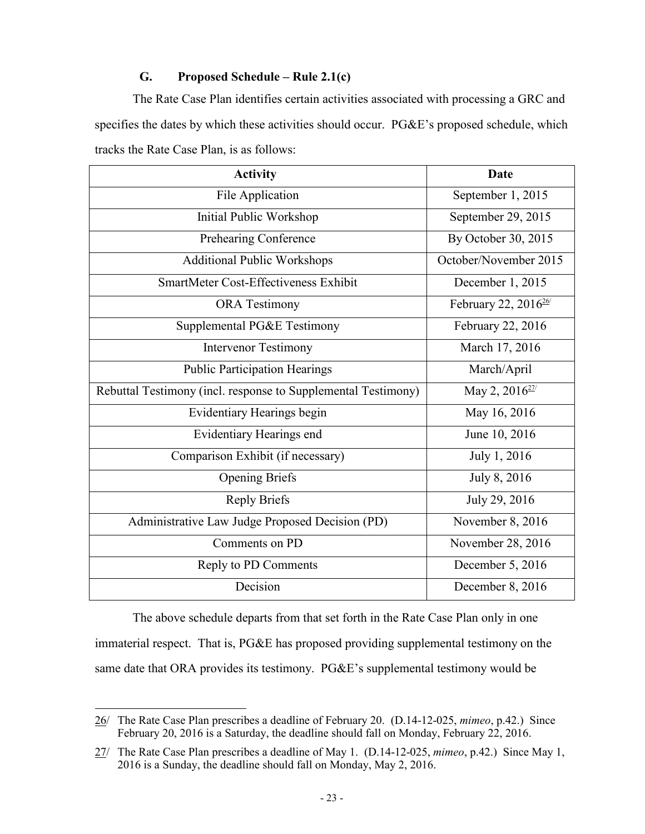## **G. Proposed Schedule – Rule 2.1(c)**

The Rate Case Plan identifies certain activities associated with processing a GRC and specifies the dates by which these activities should occur. PG&E's proposed schedule, which tracks the Rate Case Plan, is as follows:

| <b>Activity</b>                                               | <b>Date</b>                      |
|---------------------------------------------------------------|----------------------------------|
| File Application                                              | September 1, 2015                |
| Initial Public Workshop                                       | September 29, 2015               |
| Prehearing Conference                                         | By October 30, 2015              |
| <b>Additional Public Workshops</b>                            | October/November 2015            |
| SmartMeter Cost-Effectiveness Exhibit                         | December 1, 2015                 |
| <b>ORA</b> Testimony                                          | February 22, 2016 <sup>26/</sup> |
| Supplemental PG&E Testimony                                   | February 22, 2016                |
| <b>Intervenor Testimony</b>                                   | March 17, 2016                   |
| <b>Public Participation Hearings</b>                          | March/April                      |
| Rebuttal Testimony (incl. response to Supplemental Testimony) | May 2, 2016 <sup>27/</sup>       |
| Evidentiary Hearings begin                                    | May 16, 2016                     |
| Evidentiary Hearings end                                      | June 10, 2016                    |
| Comparison Exhibit (if necessary)                             | July 1, 2016                     |
| <b>Opening Briefs</b>                                         | July 8, 2016                     |
| <b>Reply Briefs</b>                                           | July 29, 2016                    |
| Administrative Law Judge Proposed Decision (PD)               | November 8, 2016                 |
| Comments on PD                                                | November 28, 2016                |
| Reply to PD Comments                                          | December 5, 2016                 |
| Decision                                                      | December 8, 2016                 |

The above schedule departs from that set forth in the Rate Case Plan only in one immaterial respect. That is, PG&E has proposed providing supplemental testimony on the same date that ORA provides its testimony. PG&E's supplemental testimony would be

 $\overline{a}$ 26/ The Rate Case Plan prescribes a deadline of February 20. (D.14-12-025, *mimeo*, p.42.) Since February 20, 2016 is a Saturday, the deadline should fall on Monday, February 22, 2016.

<sup>27/</sup> The Rate Case Plan prescribes a deadline of May 1. (D.14-12-025, *mimeo*, p.42.) Since May 1, 2016 is a Sunday, the deadline should fall on Monday, May 2, 2016.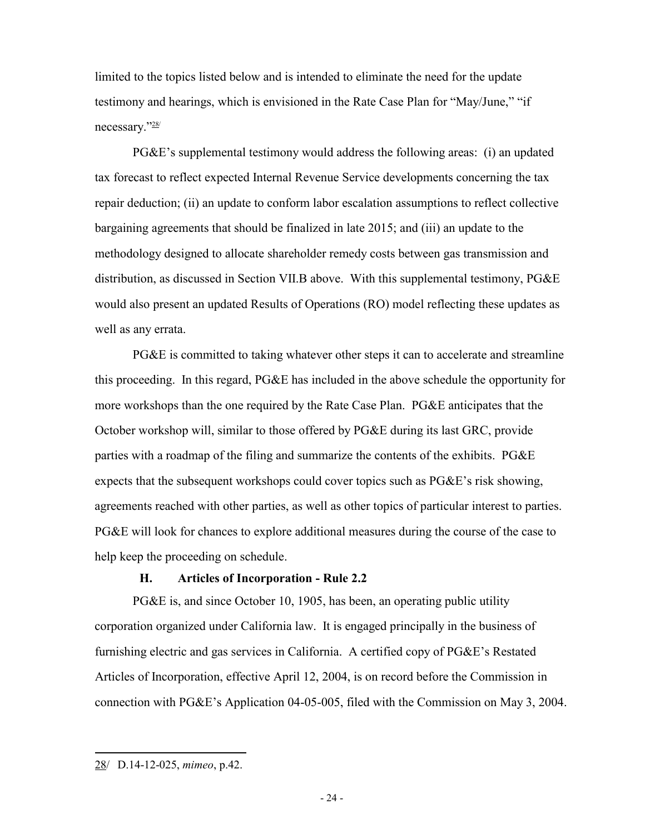limited to the topics listed below and is intended to eliminate the need for the update testimony and hearings, which is envisioned in the Rate Case Plan for "May/June," "if necessary."28/

PG&E's supplemental testimony would address the following areas: (i) an updated tax forecast to reflect expected Internal Revenue Service developments concerning the tax repair deduction; (ii) an update to conform labor escalation assumptions to reflect collective bargaining agreements that should be finalized in late 2015; and (iii) an update to the methodology designed to allocate shareholder remedy costs between gas transmission and distribution, as discussed in Section VII.B above. With this supplemental testimony, PG&E would also present an updated Results of Operations (RO) model reflecting these updates as well as any errata.

PG&E is committed to taking whatever other steps it can to accelerate and streamline this proceeding. In this regard, PG&E has included in the above schedule the opportunity for more workshops than the one required by the Rate Case Plan. PG&E anticipates that the October workshop will, similar to those offered by PG&E during its last GRC, provide parties with a roadmap of the filing and summarize the contents of the exhibits. PG&E expects that the subsequent workshops could cover topics such as PG&E's risk showing, agreements reached with other parties, as well as other topics of particular interest to parties. PG&E will look for chances to explore additional measures during the course of the case to help keep the proceeding on schedule.

#### **H. Articles of Incorporation - Rule 2.2**

PG&E is, and since October 10, 1905, has been, an operating public utility corporation organized under California law. It is engaged principally in the business of furnishing electric and gas services in California. A certified copy of PG&E's Restated Articles of Incorporation, effective April 12, 2004, is on record before the Commission in connection with PG&E's Application 04-05-005, filed with the Commission on May 3, 2004.

<sup>28/</sup> D.14-12-025, *mimeo*, p.42.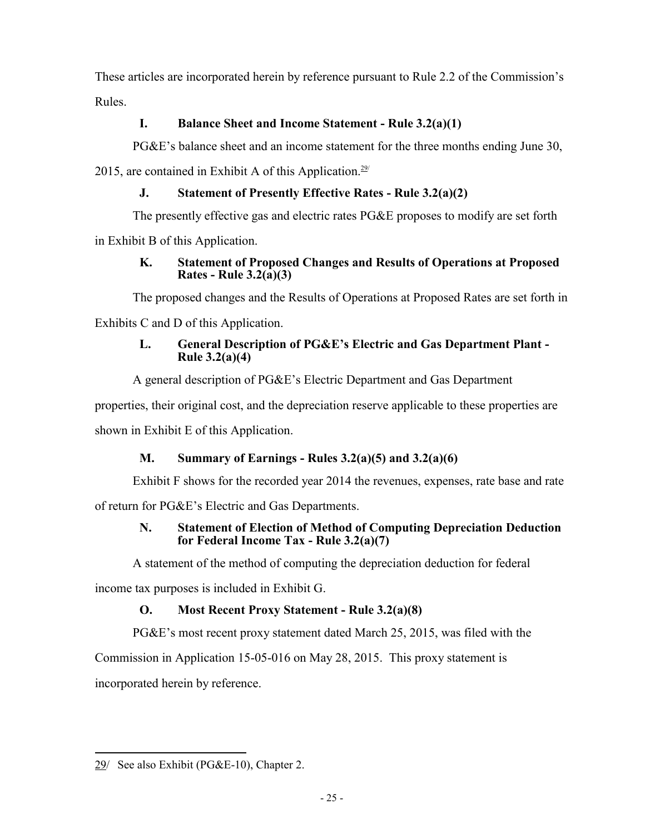These articles are incorporated herein by reference pursuant to Rule 2.2 of the Commission's Rules.

## **I. Balance Sheet and Income Statement - Rule 3.2(a)(1)**

PG&E's balance sheet and an income statement for the three months ending June 30,

2015, are contained in Exhibit A of this Application.<sup>29/</sup>

## **J. Statement of Presently Effective Rates - Rule 3.2(a)(2)**

The presently effective gas and electric rates PG&E proposes to modify are set forth

in Exhibit B of this Application.

## **K. Statement of Proposed Changes and Results of Operations at Proposed Rates - Rule 3.2(a)(3)**

The proposed changes and the Results of Operations at Proposed Rates are set forth in

Exhibits C and D of this Application.

## **L. General Description of PG&E's Electric and Gas Department Plant - Rule 3.2(a)(4)**

A general description of PG&E's Electric Department and Gas Department

properties, their original cost, and the depreciation reserve applicable to these properties are shown in Exhibit E of this Application.

# **M. Summary of Earnings - Rules 3.2(a)(5) and 3.2(a)(6)**

Exhibit F shows for the recorded year 2014 the revenues, expenses, rate base and rate

of return for PG&E's Electric and Gas Departments.

## **N. Statement of Election of Method of Computing Depreciation Deduction for Federal Income Tax - Rule 3.2(a)(7)**

A statement of the method of computing the depreciation deduction for federal

income tax purposes is included in Exhibit G.

# **O. Most Recent Proxy Statement - Rule 3.2(a)(8)**

PG&E's most recent proxy statement dated March 25, 2015, was filed with the

Commission in Application 15-05-016 on May 28, 2015. This proxy statement is

incorporated herein by reference.

 $\overline{a}$ 29/ See also Exhibit (PG&E-10), Chapter 2.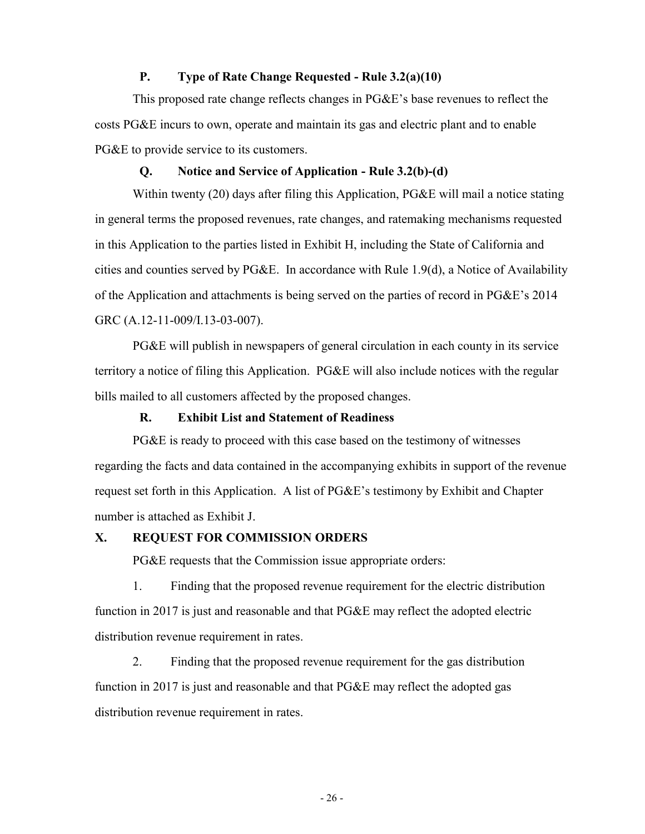#### **P. Type of Rate Change Requested - Rule 3.2(a)(10)**

This proposed rate change reflects changes in PG&E's base revenues to reflect the costs PG&E incurs to own, operate and maintain its gas and electric plant and to enable PG&E to provide service to its customers.

#### **Q. Notice and Service of Application - Rule 3.2(b)-(d)**

Within twenty (20) days after filing this Application, PG&E will mail a notice stating in general terms the proposed revenues, rate changes, and ratemaking mechanisms requested in this Application to the parties listed in Exhibit H, including the State of California and cities and counties served by PG&E. In accordance with Rule 1.9(d), a Notice of Availability of the Application and attachments is being served on the parties of record in PG&E's 2014 GRC (A.12-11-009/I.13-03-007).

PG&E will publish in newspapers of general circulation in each county in its service territory a notice of filing this Application. PG&E will also include notices with the regular bills mailed to all customers affected by the proposed changes.

#### **R. Exhibit List and Statement of Readiness**

PG&E is ready to proceed with this case based on the testimony of witnesses regarding the facts and data contained in the accompanying exhibits in support of the revenue request set forth in this Application. A list of PG&E's testimony by Exhibit and Chapter number is attached as Exhibit J.

#### **X. REQUEST FOR COMMISSION ORDERS**

PG&E requests that the Commission issue appropriate orders:

1. Finding that the proposed revenue requirement for the electric distribution function in 2017 is just and reasonable and that PG&E may reflect the adopted electric distribution revenue requirement in rates.

2. Finding that the proposed revenue requirement for the gas distribution function in 2017 is just and reasonable and that PG&E may reflect the adopted gas distribution revenue requirement in rates.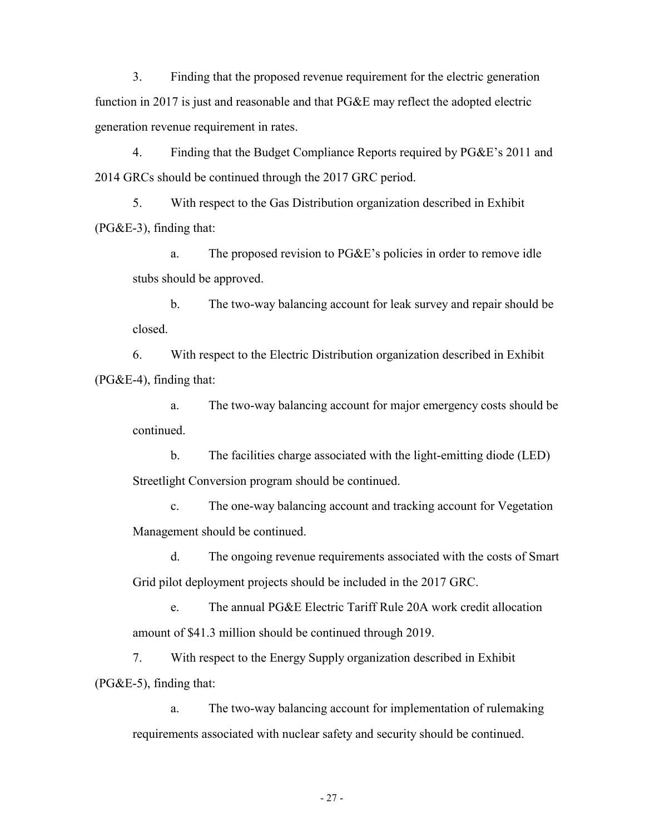3. Finding that the proposed revenue requirement for the electric generation function in 2017 is just and reasonable and that PG&E may reflect the adopted electric generation revenue requirement in rates.

4. Finding that the Budget Compliance Reports required by PG&E's 2011 and 2014 GRCs should be continued through the 2017 GRC period.

5. With respect to the Gas Distribution organization described in Exhibit  $(PG&E-3)$ , finding that:

a. The proposed revision to PG&E's policies in order to remove idle stubs should be approved.

b. The two-way balancing account for leak survey and repair should be closed.

6. With respect to the Electric Distribution organization described in Exhibit (PG&E-4), finding that:

a. The two-way balancing account for major emergency costs should be continued.

b. The facilities charge associated with the light-emitting diode (LED) Streetlight Conversion program should be continued.

c. The one-way balancing account and tracking account for Vegetation Management should be continued.

d. The ongoing revenue requirements associated with the costs of Smart Grid pilot deployment projects should be included in the 2017 GRC.

e. The annual PG&E Electric Tariff Rule 20A work credit allocation amount of \$41.3 million should be continued through 2019.

7. With respect to the Energy Supply organization described in Exhibit (PG&E-5), finding that:

a. The two-way balancing account for implementation of rulemaking requirements associated with nuclear safety and security should be continued.

- 27 -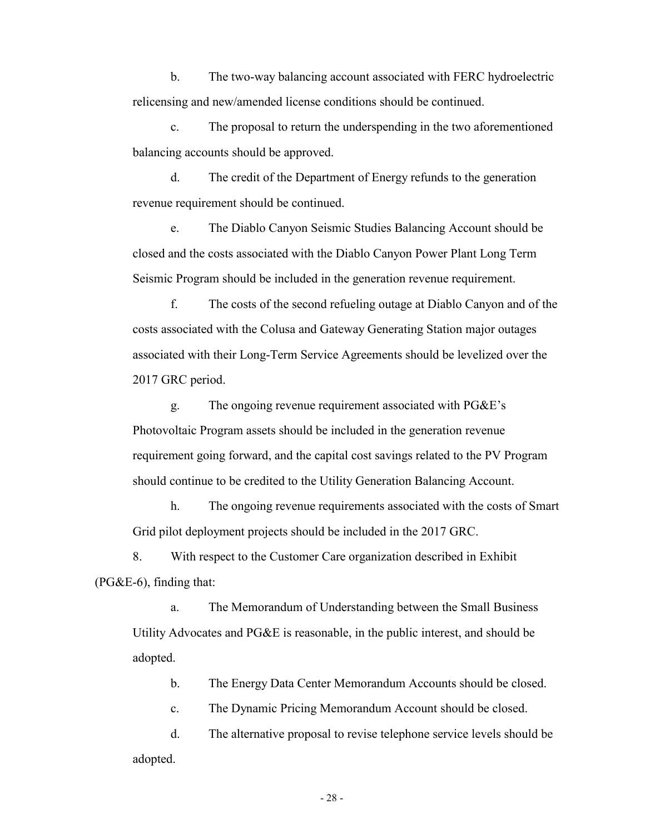b. The two-way balancing account associated with FERC hydroelectric relicensing and new/amended license conditions should be continued.

c. The proposal to return the underspending in the two aforementioned balancing accounts should be approved.

d. The credit of the Department of Energy refunds to the generation revenue requirement should be continued.

e. The Diablo Canyon Seismic Studies Balancing Account should be closed and the costs associated with the Diablo Canyon Power Plant Long Term Seismic Program should be included in the generation revenue requirement.

f. The costs of the second refueling outage at Diablo Canyon and of the costs associated with the Colusa and Gateway Generating Station major outages associated with their Long-Term Service Agreements should be levelized over the 2017 GRC period.

g. The ongoing revenue requirement associated with PG&E's Photovoltaic Program assets should be included in the generation revenue requirement going forward, and the capital cost savings related to the PV Program should continue to be credited to the Utility Generation Balancing Account.

h. The ongoing revenue requirements associated with the costs of Smart Grid pilot deployment projects should be included in the 2017 GRC.

8. With respect to the Customer Care organization described in Exhibit  $(PG&E-6)$ , finding that:

a. The Memorandum of Understanding between the Small Business Utility Advocates and PG&E is reasonable, in the public interest, and should be adopted.

b. The Energy Data Center Memorandum Accounts should be closed.

c. The Dynamic Pricing Memorandum Account should be closed.

d. The alternative proposal to revise telephone service levels should be adopted.

- 28 -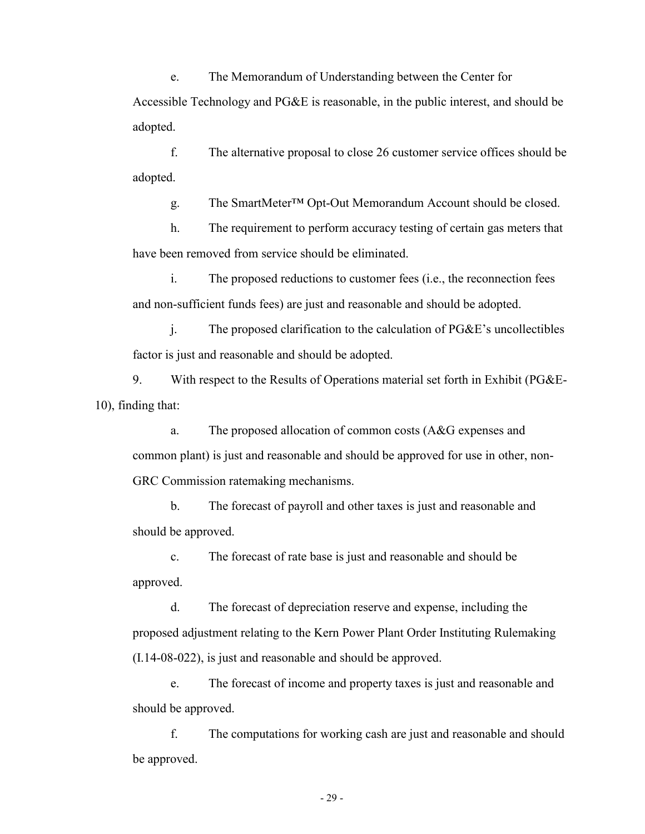e. The Memorandum of Understanding between the Center for

Accessible Technology and PG&E is reasonable, in the public interest, and should be adopted.

f. The alternative proposal to close 26 customer service offices should be adopted.

g. The SmartMeter™ Opt-Out Memorandum Account should be closed.

h. The requirement to perform accuracy testing of certain gas meters that have been removed from service should be eliminated.

i. The proposed reductions to customer fees (i.e., the reconnection fees and non-sufficient funds fees) are just and reasonable and should be adopted.

j. The proposed clarification to the calculation of PG&E's uncollectibles factor is just and reasonable and should be adopted.

9. With respect to the Results of Operations material set forth in Exhibit (PG&E-10), finding that:

a. The proposed allocation of common costs (A&G expenses and common plant) is just and reasonable and should be approved for use in other, non-GRC Commission ratemaking mechanisms.

b. The forecast of payroll and other taxes is just and reasonable and should be approved.

c. The forecast of rate base is just and reasonable and should be approved.

d. The forecast of depreciation reserve and expense, including the proposed adjustment relating to the Kern Power Plant Order Instituting Rulemaking (I.14-08-022), is just and reasonable and should be approved.

e. The forecast of income and property taxes is just and reasonable and should be approved.

f. The computations for working cash are just and reasonable and should be approved.

- 29 -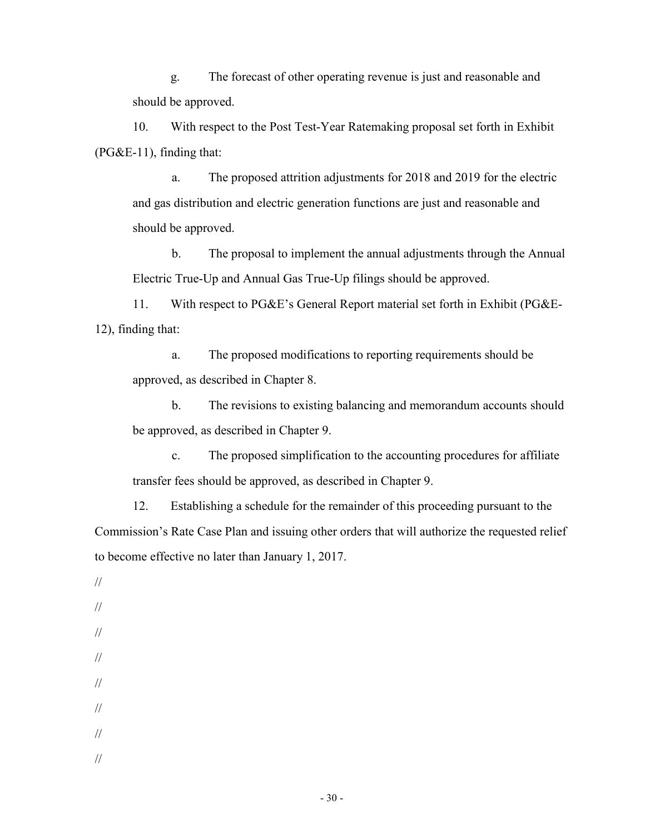g. The forecast of other operating revenue is just and reasonable and should be approved.

10. With respect to the Post Test-Year Ratemaking proposal set forth in Exhibit (PG&E-11), finding that:

a. The proposed attrition adjustments for 2018 and 2019 for the electric and gas distribution and electric generation functions are just and reasonable and should be approved.

b. The proposal to implement the annual adjustments through the Annual Electric True-Up and Annual Gas True-Up filings should be approved.

11. With respect to PG&E's General Report material set forth in Exhibit (PG&E-12), finding that:

a. The proposed modifications to reporting requirements should be approved, as described in Chapter 8.

b. The revisions to existing balancing and memorandum accounts should be approved, as described in Chapter 9.

c. The proposed simplification to the accounting procedures for affiliate transfer fees should be approved, as described in Chapter 9.

12. Establishing a schedule for the remainder of this proceeding pursuant to the Commission's Rate Case Plan and issuing other orders that will authorize the requested relief to become effective no later than January 1, 2017.

// // // // // // // //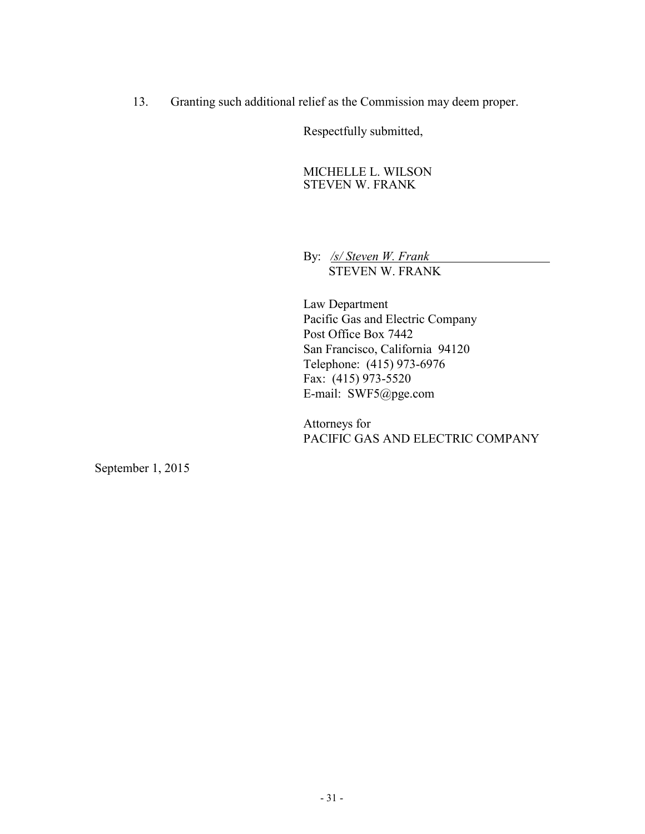13. Granting such additional relief as the Commission may deem proper.

Respectfully submitted,

MICHELLE L. WILSON STEVEN W. FRANK

By: */s/ Steven W. Frank* STEVEN W. FRANK

Law Department Pacific Gas and Electric Company Post Office Box 7442 San Francisco, California 94120 Telephone: (415) 973-6976 Fax: (415) 973-5520 E-mail: SWF5@pge.com

Attorneys for PACIFIC GAS AND ELECTRIC COMPANY

September 1, 2015